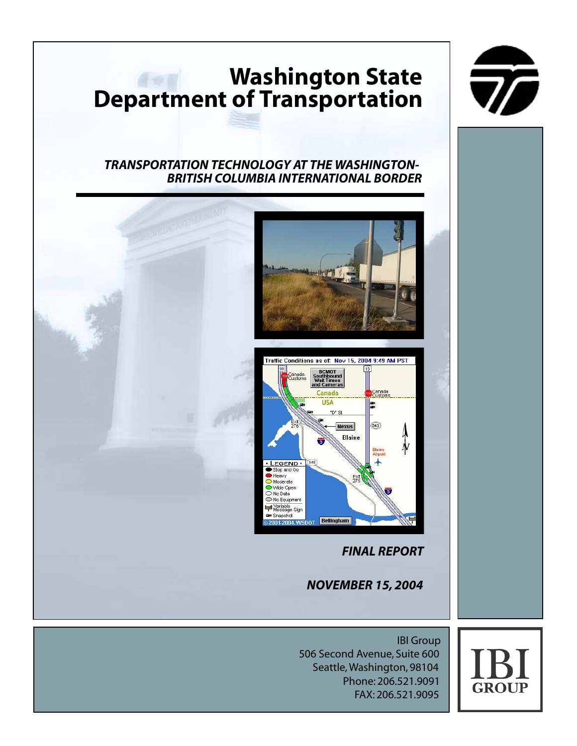# **Washington State Department of Transportation**



### *TRANSPORTATION TECHNOLOGY AT THE WASHINGTON-BRITISH COLUMBIA INTERNATIONAL BORDER*





*FINAL REPORT*

*NOVEMBER 15, 2004*

IBI Group 506 Second Avenue, Suite 600 Seattle, Washington, 98104 Phone: 206.521.9091 FAX: 206.521.9095

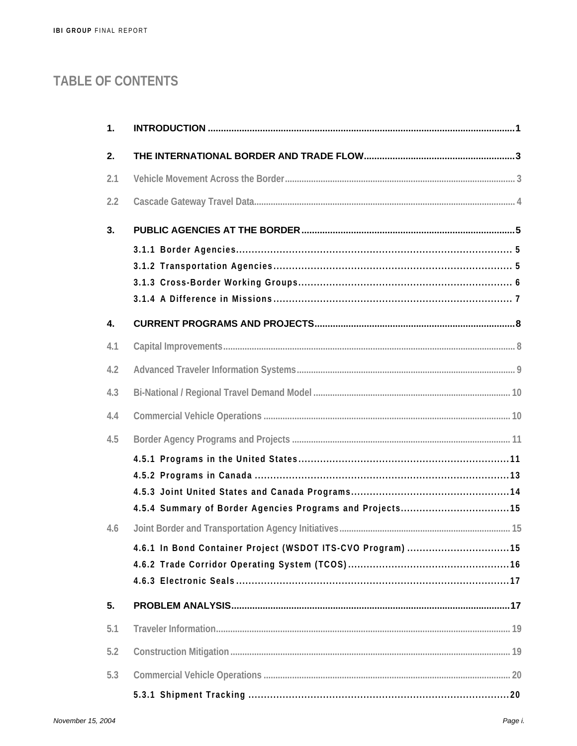# TABLE OF CONTENTS

| 1.               |  |
|------------------|--|
| 2.               |  |
| 2.1              |  |
| 2.2              |  |
| 3.               |  |
|                  |  |
|                  |  |
|                  |  |
|                  |  |
| $\overline{4}$ . |  |
| 4.1              |  |
| 4.2              |  |
| 4.3              |  |
| 4.4              |  |
| 4.5              |  |
|                  |  |
|                  |  |
|                  |  |
|                  |  |
| 4.6              |  |
|                  |  |
|                  |  |
| 5.               |  |
| 5.1              |  |
|                  |  |
| 5.2              |  |
| 5.3              |  |
|                  |  |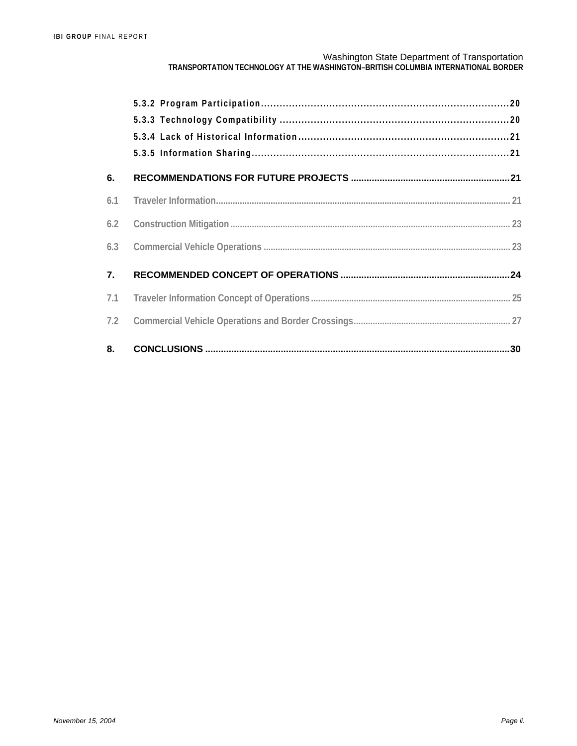| 6.  |  |
|-----|--|
| 6.1 |  |
| 6.2 |  |
| 6.3 |  |
| 7.  |  |
| 7.1 |  |
| 7.2 |  |
| 8.  |  |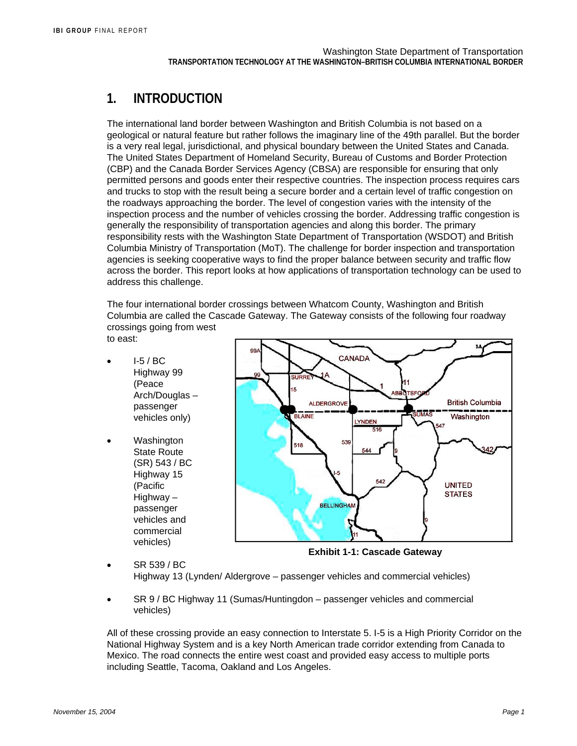## **1. INTRODUCTION**

The international land border between Washington and British Columbia is not based on a geological or natural feature but rather follows the imaginary line of the 49th parallel. But the border is a very real legal, jurisdictional, and physical boundary between the United States and Canada. The United States Department of Homeland Security, Bureau of Customs and Border Protection (CBP) and the Canada Border Services Agency (CBSA) are responsible for ensuring that only permitted persons and goods enter their respective countries. The inspection process requires cars and trucks to stop with the result being a secure border and a certain level of traffic congestion on the roadways approaching the border. The level of congestion varies with the intensity of the inspection process and the number of vehicles crossing the border. Addressing traffic congestion is generally the responsibility of transportation agencies and along this border. The primary responsibility rests with the Washington State Department of Transportation (WSDOT) and British Columbia Ministry of Transportation (MoT). The challenge for border inspection and transportation agencies is seeking cooperative ways to find the proper balance between security and traffic flow across the border. This report looks at how applications of transportation technology can be used to address this challenge.

The four international border crossings between Whatcom County, Washington and British Columbia are called the Cascade Gateway. The Gateway consists of the following four roadway crossings going from west to east:

- I-5 / BC Highway 99 (Peace Arch/Douglas – passenger vehicles only)
- Washington State Route (SR) 543 / BC Highway 15 (Pacific Highway – passenger vehicles and commercial vehicles)



**Exhibit 1-1: Cascade Gateway** 

• SR 539 / BC Highway 13 (Lynden/ Aldergrove – passenger vehicles and commercial vehicles)

• SR 9 / BC Highway 11 (Sumas/Huntingdon – passenger vehicles and commercial vehicles)

All of these crossing provide an easy connection to Interstate 5. I-5 is a High Priority Corridor on the National Highway System and is a key North American trade corridor extending from Canada to Mexico. The road connects the entire west coast and provided easy access to multiple ports including Seattle, Tacoma, Oakland and Los Angeles.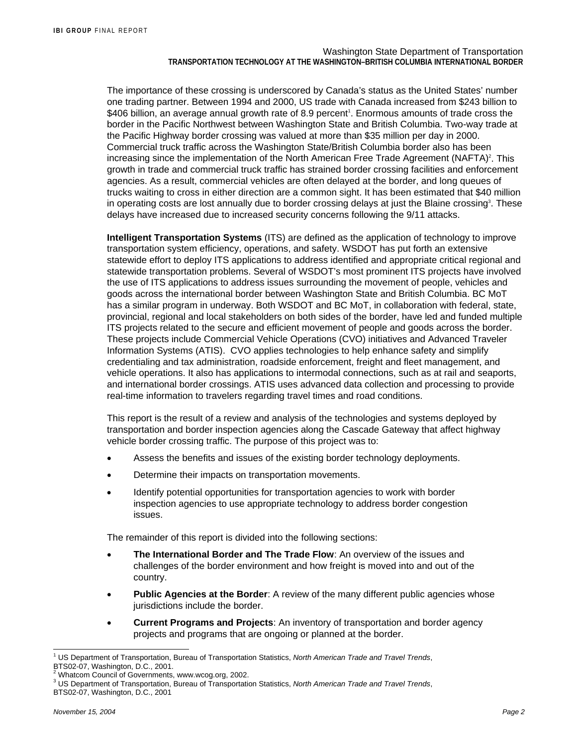The importance of these crossing is underscored by Canada's status as the United States' number one trading partner. Between 1994 and 2000, US trade with Canada increased from \$243 billion to \$406 billion, an average annual growth rate of 8.9 percent<sup>1</sup>. Enormous amounts of trade cross the border in the Pacific Northwest between Washington State and British Columbia. Two-way trade at the Pacific Highway border crossing was valued at more than \$35 million per day in 2000. Commercial truck traffic across the Washington State/British Columbia border also has been increasing since the implementation of the North American Free Trade Agreement (NAFTA)<sup>2</sup>. This growth in trade and commercial truck traffic has strained border crossing facilities and enforcement agencies. As a result, commercial vehicles are often delayed at the border, and long queues of trucks waiting to cross in either direction are a common sight. It has been estimated that \$40 million in operating costs are lost annually due to border crossing delays at just the Blaine crossing<sup>3</sup>. These delays have increased due to increased security concerns following the 9/11 attacks.

**Intelligent Transportation Systems** (ITS) are defined as the application of technology to improve transportation system efficiency, operations, and safety. WSDOT has put forth an extensive statewide effort to deploy ITS applications to address identified and appropriate critical regional and statewide transportation problems. Several of WSDOT's most prominent ITS projects have involved the use of ITS applications to address issues surrounding the movement of people, vehicles and goods across the international border between Washington State and British Columbia. BC MoT has a similar program in underway. Both WSDOT and BC MoT, in collaboration with federal, state, provincial, regional and local stakeholders on both sides of the border, have led and funded multiple ITS projects related to the secure and efficient movement of people and goods across the border. These projects include Commercial Vehicle Operations (CVO) initiatives and Advanced Traveler Information Systems (ATIS). CVO applies technologies to help enhance safety and simplify credentialing and tax administration, roadside enforcement, freight and fleet management, and vehicle operations. It also has applications to intermodal connections, such as at rail and seaports, and international border crossings. ATIS uses advanced data collection and processing to provide real-time information to travelers regarding travel times and road conditions.

This report is the result of a review and analysis of the technologies and systems deployed by transportation and border inspection agencies along the Cascade Gateway that affect highway vehicle border crossing traffic. The purpose of this project was to:

- Assess the benefits and issues of the existing border technology deployments.
- Determine their impacts on transportation movements.
- Identify potential opportunities for transportation agencies to work with border inspection agencies to use appropriate technology to address border congestion issues.

The remainder of this report is divided into the following sections:

- **The International Border and The Trade Flow**: An overview of the issues and challenges of the border environment and how freight is moved into and out of the country.
- **Public Agencies at the Border:** A review of the many different public agencies whose jurisdictions include the border.
- **Current Programs and Projects**: An inventory of transportation and border agency projects and programs that are ongoing or planned at the border.

l

<sup>1</sup> US Department of Transportation, Bureau of Transportation Statistics, *North American Trade and Travel Trends*, BTS02-07, Washington, D.C., 2001.

<sup>&</sup>lt;sup>2</sup> Whatcom Council of Governments, www.wcog.org, 2002.

<sup>3</sup> US Department of Transportation, Bureau of Transportation Statistics, *North American Trade and Travel Trends*, BTS02-07, Washington, D.C., 2001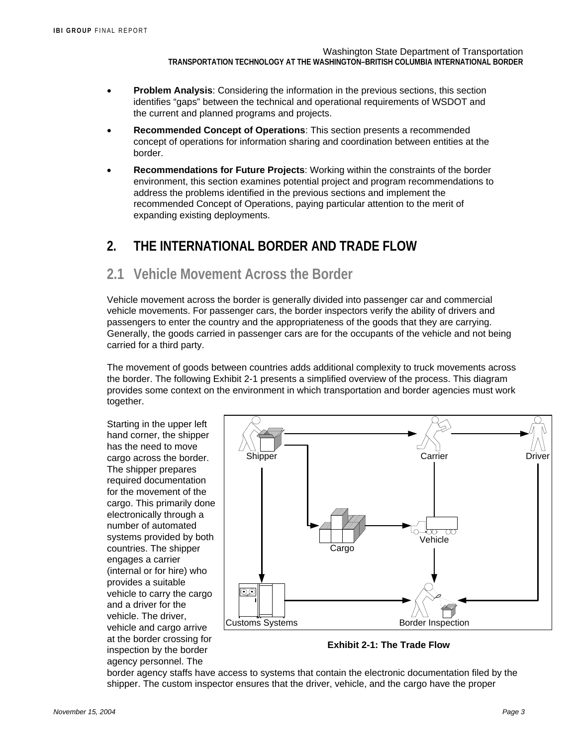- **Problem Analysis:** Considering the information in the previous sections, this section identifies "gaps" between the technical and operational requirements of WSDOT and the current and planned programs and projects.
- **Recommended Concept of Operations**: This section presents a recommended concept of operations for information sharing and coordination between entities at the border.
- **Recommendations for Future Projects**: Working within the constraints of the border environment, this section examines potential project and program recommendations to address the problems identified in the previous sections and implement the recommended Concept of Operations, paying particular attention to the merit of expanding existing deployments.

## **2. THE INTERNATIONAL BORDER AND TRADE FLOW**

## **2.1 Vehicle Movement Across the Border**

Vehicle movement across the border is generally divided into passenger car and commercial vehicle movements. For passenger cars, the border inspectors verify the ability of drivers and passengers to enter the country and the appropriateness of the goods that they are carrying. Generally, the goods carried in passenger cars are for the occupants of the vehicle and not being carried for a third party.

The movement of goods between countries adds additional complexity to truck movements across the border. The following Exhibit 2-1 presents a simplified overview of the process. This diagram provides some context on the environment in which transportation and border agencies must work together.

Starting in the upper left hand corner, the shipper has the need to move cargo across the border. The shipper prepares required documentation for the movement of the cargo. This primarily done electronically through a number of automated systems provided by both countries. The shipper engages a carrier (internal or for hire) who provides a suitable vehicle to carry the cargo and a driver for the vehicle. The driver, vehicle and cargo arrive at the border crossing for inspection by the border agency personnel. The



**Exhibit 2-1: The Trade Flow** 

border agency staffs have access to systems that contain the electronic documentation filed by the shipper. The custom inspector ensures that the driver, vehicle, and the cargo have the proper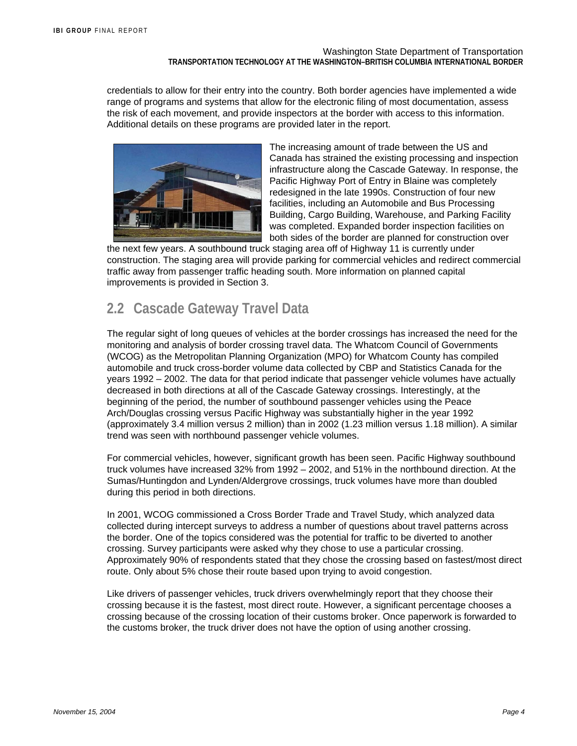credentials to allow for their entry into the country. Both border agencies have implemented a wide range of programs and systems that allow for the electronic filing of most documentation, assess the risk of each movement, and provide inspectors at the border with access to this information. Additional details on these programs are provided later in the report.



The increasing amount of trade between the US and Canada has strained the existing processing and inspection infrastructure along the Cascade Gateway. In response, the Pacific Highway Port of Entry in Blaine was completely redesigned in the late 1990s. Construction of four new facilities, including an Automobile and Bus Processing Building, Cargo Building, Warehouse, and Parking Facility was completed. Expanded border inspection facilities on both sides of the border are planned for construction over

the next few years. A southbound truck staging area off of Highway 11 is currently under construction. The staging area will provide parking for commercial vehicles and redirect commercial traffic away from passenger traffic heading south. More information on planned capital improvements is provided in Section 3.

# **2.2 Cascade Gateway Travel Data**

The regular sight of long queues of vehicles at the border crossings has increased the need for the monitoring and analysis of border crossing travel data. The Whatcom Council of Governments (WCOG) as the Metropolitan Planning Organization (MPO) for Whatcom County has compiled automobile and truck cross-border volume data collected by CBP and Statistics Canada for the years 1992 – 2002. The data for that period indicate that passenger vehicle volumes have actually decreased in both directions at all of the Cascade Gateway crossings. Interestingly, at the beginning of the period, the number of southbound passenger vehicles using the Peace Arch/Douglas crossing versus Pacific Highway was substantially higher in the year 1992 (approximately 3.4 million versus 2 million) than in 2002 (1.23 million versus 1.18 million). A similar trend was seen with northbound passenger vehicle volumes.

For commercial vehicles, however, significant growth has been seen. Pacific Highway southbound truck volumes have increased 32% from 1992 – 2002, and 51% in the northbound direction. At the Sumas/Huntingdon and Lynden/Aldergrove crossings, truck volumes have more than doubled during this period in both directions.

In 2001, WCOG commissioned a Cross Border Trade and Travel Study, which analyzed data collected during intercept surveys to address a number of questions about travel patterns across the border. One of the topics considered was the potential for traffic to be diverted to another crossing. Survey participants were asked why they chose to use a particular crossing. Approximately 90% of respondents stated that they chose the crossing based on fastest/most direct route. Only about 5% chose their route based upon trying to avoid congestion.

Like drivers of passenger vehicles, truck drivers overwhelmingly report that they choose their crossing because it is the fastest, most direct route. However, a significant percentage chooses a crossing because of the crossing location of their customs broker. Once paperwork is forwarded to the customs broker, the truck driver does not have the option of using another crossing.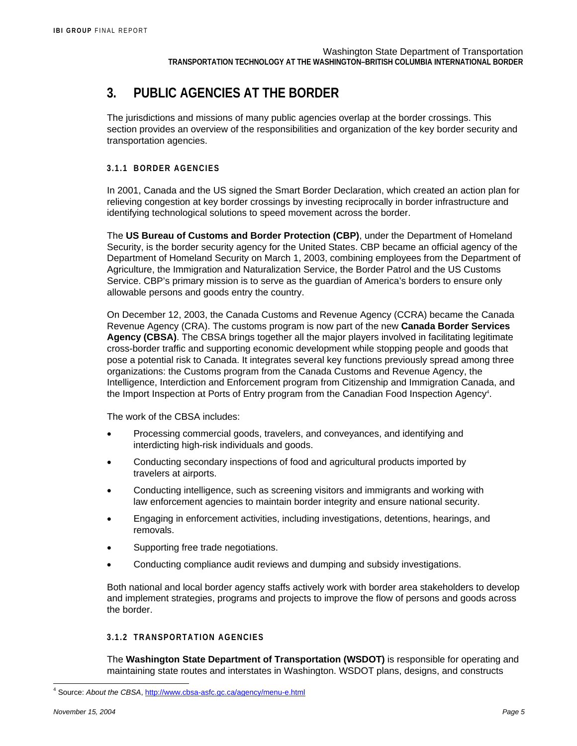# **3. PUBLIC AGENCIES AT THE BORDER**

The jurisdictions and missions of many public agencies overlap at the border crossings. This section provides an overview of the responsibilities and organization of the key border security and transportation agencies.

#### **3.1.1 BORDER AGENCIES**

In 2001, Canada and the US signed the Smart Border Declaration, which created an action plan for relieving congestion at key border crossings by investing reciprocally in border infrastructure and identifying technological solutions to speed movement across the border.

The **US Bureau of Customs and Border Protection (CBP)**, under the Department of Homeland Security, is the border security agency for the United States. CBP became an official agency of the Department of Homeland Security on March 1, 2003, combining employees from the Department of Agriculture, the Immigration and Naturalization Service, the Border Patrol and the US Customs Service. CBP's primary mission is to serve as the guardian of America's borders to ensure only allowable persons and goods entry the country.

On December 12, 2003, the Canada Customs and Revenue Agency (CCRA) became the Canada Revenue Agency (CRA). The customs program is now part of the new **Canada Border Services Agency (CBSA)**. The CBSA brings together all the major players involved in facilitating legitimate cross-border traffic and supporting economic development while stopping people and goods that pose a potential risk to Canada. It integrates several key functions previously spread among three organizations: the Customs program from the Canada Customs and Revenue Agency, the Intelligence, Interdiction and Enforcement program from Citizenship and Immigration Canada, and the Import Inspection at Ports of Entry program from the Canadian Food Inspection Agency<sup>4</sup>.

The work of the CBSA includes:

- Processing commercial goods, travelers, and conveyances, and identifying and interdicting high-risk individuals and goods.
- Conducting secondary inspections of food and agricultural products imported by travelers at airports.
- Conducting intelligence, such as screening visitors and immigrants and working with law enforcement agencies to maintain border integrity and ensure national security.
- Engaging in enforcement activities, including investigations, detentions, hearings, and removals.
- Supporting free trade negotiations.
- Conducting compliance audit reviews and dumping and subsidy investigations.

Both national and local border agency staffs actively work with border area stakeholders to develop and implement strategies, programs and projects to improve the flow of persons and goods across the border.

#### **3.1.2 TRANSPORTATION AGENCIES**

The **Washington State Department of Transportation (WSDOT)** is responsible for operating and maintaining state routes and interstates in Washington. WSDOT plans, designs, and constructs

l

<sup>4</sup> Source: *About the CBSA*, http://www.cbsa-asfc.gc.ca/agency/menu-e.html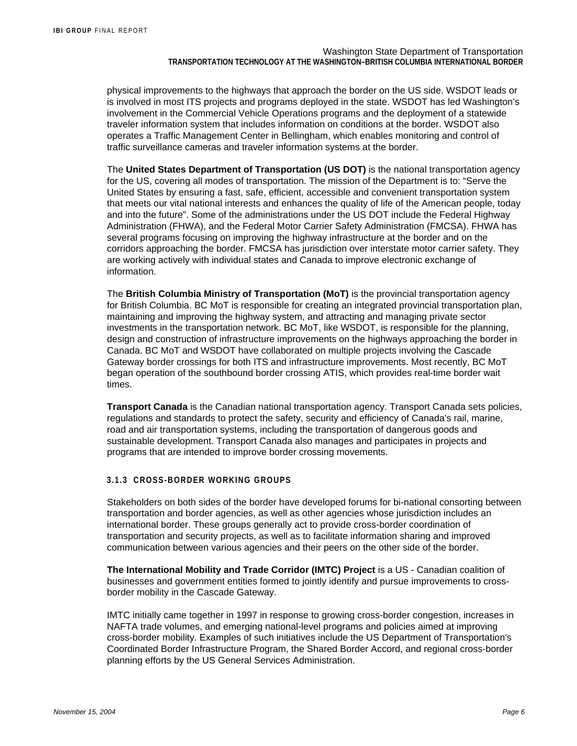physical improvements to the highways that approach the border on the US side. WSDOT leads or is involved in most ITS projects and programs deployed in the state. WSDOT has led Washington's involvement in the Commercial Vehicle Operations programs and the deployment of a statewide traveler information system that includes information on conditions at the border. WSDOT also operates a Traffic Management Center in Bellingham, which enables monitoring and control of traffic surveillance cameras and traveler information systems at the border.

The **United States Department of Transportation (US DOT)** is the national transportation agency for the US, covering all modes of transportation. The mission of the Department is to: "Serve the United States by ensuring a fast, safe, efficient, accessible and convenient transportation system that meets our vital national interests and enhances the quality of life of the American people, today and into the future". Some of the administrations under the US DOT include the Federal Highway Administration (FHWA), and the Federal Motor Carrier Safety Administration (FMCSA). FHWA has several programs focusing on improving the highway infrastructure at the border and on the corridors approaching the border. FMCSA has jurisdiction over interstate motor carrier safety. They are working actively with individual states and Canada to improve electronic exchange of information.

The **British Columbia Ministry of Transportation (MoT)** is the provincial transportation agency for British Columbia. BC MoT is responsible for creating an integrated provincial transportation plan, maintaining and improving the highway system, and attracting and managing private sector investments in the transportation network. BC MoT, like WSDOT, is responsible for the planning, design and construction of infrastructure improvements on the highways approaching the border in Canada. BC MoT and WSDOT have collaborated on multiple projects involving the Cascade Gateway border crossings for both ITS and infrastructure improvements. Most recently, BC MoT began operation of the southbound border crossing ATIS, which provides real-time border wait times.

**Transport Canada** is the Canadian national transportation agency. Transport Canada sets policies, regulations and standards to protect the safety, security and efficiency of Canada's rail, marine, road and air transportation systems, including the transportation of dangerous goods and sustainable development. Transport Canada also manages and participates in projects and programs that are intended to improve border crossing movements.

#### **3.1.3 CROSS-BORDER WORKING GROUPS**

Stakeholders on both sides of the border have developed forums for bi-national consorting between transportation and border agencies, as well as other agencies whose jurisdiction includes an international border. These groups generally act to provide cross-border coordination of transportation and security projects, as well as to facilitate information sharing and improved communication between various agencies and their peers on the other side of the border.

**The International Mobility and Trade Corridor (IMTC) Project** is a US - Canadian coalition of businesses and government entities formed to jointly identify and pursue improvements to crossborder mobility in the Cascade Gateway.

IMTC initially came together in 1997 in response to growing cross-border congestion, increases in NAFTA trade volumes, and emerging national-level programs and policies aimed at improving cross-border mobility. Examples of such initiatives include the US Department of Transportation's Coordinated Border Infrastructure Program, the Shared Border Accord, and regional cross-border planning efforts by the US General Services Administration.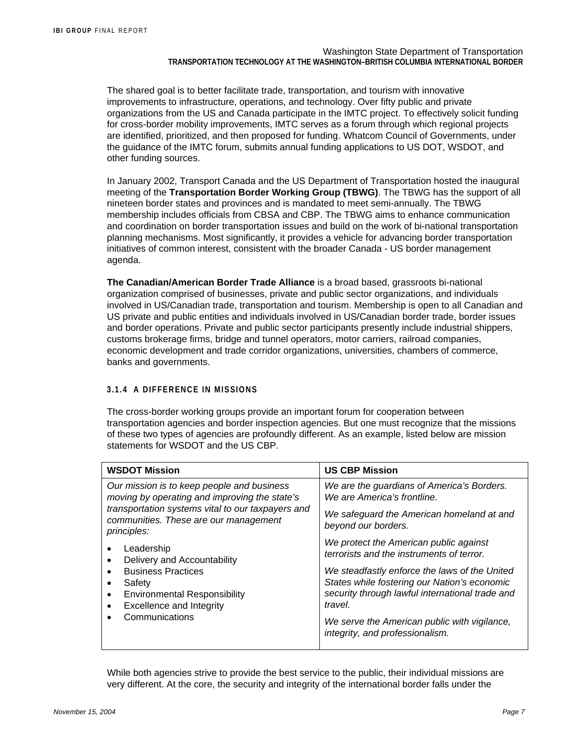The shared goal is to better facilitate trade, transportation, and tourism with innovative improvements to infrastructure, operations, and technology. Over fifty public and private organizations from the US and Canada participate in the IMTC project. To effectively solicit funding for cross-border mobility improvements, IMTC serves as a forum through which regional projects are identified, prioritized, and then proposed for funding. Whatcom Council of Governments, under the guidance of the IMTC forum, submits annual funding applications to US DOT, WSDOT, and other funding sources.

In January 2002, Transport Canada and the US Department of Transportation hosted the inaugural meeting of the **Transportation Border Working Group (TBWG)**. The TBWG has the support of all nineteen border states and provinces and is mandated to meet semi-annually. The TBWG membership includes officials from CBSA and CBP. The TBWG aims to enhance communication and coordination on border transportation issues and build on the work of bi-national transportation planning mechanisms. Most significantly, it provides a vehicle for advancing border transportation initiatives of common interest, consistent with the broader Canada - US border management agenda.

**The Canadian/American Border Trade Alliance** is a broad based, grassroots bi-national organization comprised of businesses, private and public sector organizations, and individuals involved in US/Canadian trade, transportation and tourism. Membership is open to all Canadian and US private and public entities and individuals involved in US/Canadian border trade, border issues and border operations. Private and public sector participants presently include industrial shippers, customs brokerage firms, bridge and tunnel operators, motor carriers, railroad companies, economic development and trade corridor organizations, universities, chambers of commerce, banks and governments.

#### **3.1.4 A DIFFERENCE IN MISSIONS**

The cross-border working groups provide an important forum for cooperation between transportation agencies and border inspection agencies. But one must recognize that the missions of these two types of agencies are profoundly different. As an example, listed below are mission statements for WSDOT and the US CBP.

| <b>WSDOT Mission</b>                                                                                                                                                                                     | <b>US CBP Mission</b>                                                                                                                                                                                                                                                                       |
|----------------------------------------------------------------------------------------------------------------------------------------------------------------------------------------------------------|---------------------------------------------------------------------------------------------------------------------------------------------------------------------------------------------------------------------------------------------------------------------------------------------|
| Our mission is to keep people and business<br>moving by operating and improving the state's<br>transportation systems vital to our taxpayers and<br>communities. These are our management<br>principles: | We are the guardians of America's Borders.<br>We are America's frontline.<br>We safeguard the American homeland at and<br>beyond our borders.<br>We protect the American public against                                                                                                     |
| Leadership<br>Delivery and Accountability<br><b>Business Practices</b><br>Safety<br><b>Environmental Responsibility</b><br>$\bullet$<br><b>Excellence and Integrity</b><br>Communications                | terrorists and the instruments of terror.<br>We steadfastly enforce the laws of the United<br>States while fostering our Nation's economic<br>security through lawful international trade and<br>travel.<br>We serve the American public with vigilance,<br>integrity, and professionalism. |

While both agencies strive to provide the best service to the public, their individual missions are very different. At the core, the security and integrity of the international border falls under the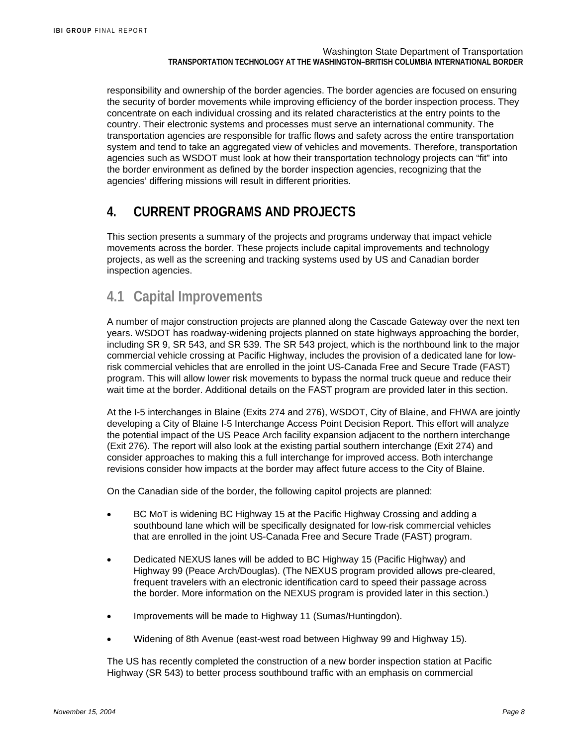responsibility and ownership of the border agencies. The border agencies are focused on ensuring the security of border movements while improving efficiency of the border inspection process. They concentrate on each individual crossing and its related characteristics at the entry points to the country. Their electronic systems and processes must serve an international community. The transportation agencies are responsible for traffic flows and safety across the entire transportation system and tend to take an aggregated view of vehicles and movements. Therefore, transportation agencies such as WSDOT must look at how their transportation technology projects can "fit" into the border environment as defined by the border inspection agencies, recognizing that the agencies' differing missions will result in different priorities.

## **4. CURRENT PROGRAMS AND PROJECTS**

This section presents a summary of the projects and programs underway that impact vehicle movements across the border. These projects include capital improvements and technology projects, as well as the screening and tracking systems used by US and Canadian border inspection agencies.

## **4.1 Capital Improvements**

A number of major construction projects are planned along the Cascade Gateway over the next ten years. WSDOT has roadway-widening projects planned on state highways approaching the border, including SR 9, SR 543, and SR 539. The SR 543 project, which is the northbound link to the major commercial vehicle crossing at Pacific Highway, includes the provision of a dedicated lane for lowrisk commercial vehicles that are enrolled in the joint US-Canada Free and Secure Trade (FAST) program. This will allow lower risk movements to bypass the normal truck queue and reduce their wait time at the border. Additional details on the FAST program are provided later in this section.

At the I-5 interchanges in Blaine (Exits 274 and 276), WSDOT, City of Blaine, and FHWA are jointly developing a City of Blaine I-5 Interchange Access Point Decision Report. This effort will analyze the potential impact of the US Peace Arch facility expansion adjacent to the northern interchange (Exit 276). The report will also look at the existing partial southern interchange (Exit 274) and consider approaches to making this a full interchange for improved access. Both interchange revisions consider how impacts at the border may affect future access to the City of Blaine.

On the Canadian side of the border, the following capitol projects are planned:

- BC MoT is widening BC Highway 15 at the Pacific Highway Crossing and adding a southbound lane which will be specifically designated for low-risk commercial vehicles that are enrolled in the joint US-Canada Free and Secure Trade (FAST) program.
- Dedicated NEXUS lanes will be added to BC Highway 15 (Pacific Highway) and Highway 99 (Peace Arch/Douglas). (The NEXUS program provided allows pre-cleared, frequent travelers with an electronic identification card to speed their passage across the border. More information on the NEXUS program is provided later in this section.)
- Improvements will be made to Highway 11 (Sumas/Huntingdon).
- Widening of 8th Avenue (east-west road between Highway 99 and Highway 15).

The US has recently completed the construction of a new border inspection station at Pacific Highway (SR 543) to better process southbound traffic with an emphasis on commercial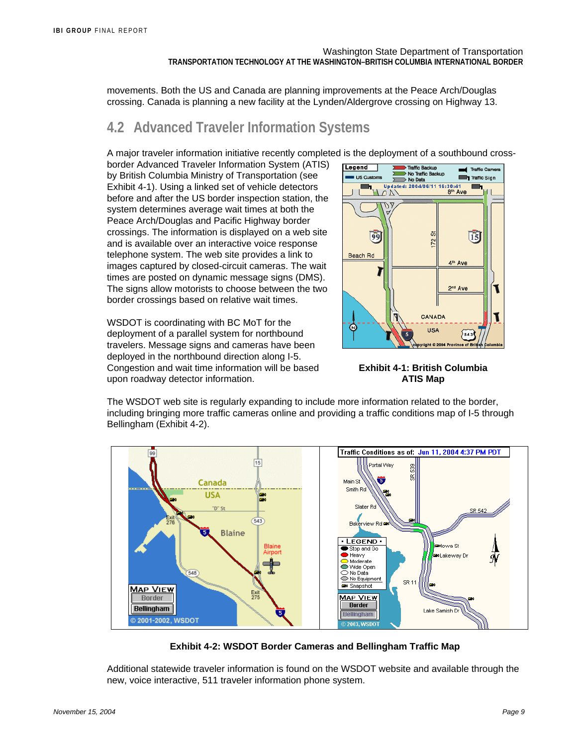movements. Both the US and Canada are planning improvements at the Peace Arch/Douglas crossing. Canada is planning a new facility at the Lynden/Aldergrove crossing on Highway 13.

## **4.2 Advanced Traveler Information Systems**

A major traveler information initiative recently completed is the deployment of a southbound cross-

border Advanced Traveler Information System (ATIS) by British Columbia Ministry of Transportation (see Exhibit 4-1). Using a linked set of vehicle detectors before and after the US border inspection station, the system determines average wait times at both the Peace Arch/Douglas and Pacific Highway border crossings. The information is displayed on a web site and is available over an interactive voice response telephone system. The web site provides a link to images captured by closed-circuit cameras. The wait times are posted on dynamic message signs (DMS). The signs allow motorists to choose between the two border crossings based on relative wait times.

WSDOT is coordinating with BC MoT for the deployment of a parallel system for northbound travelers. Message signs and cameras have been deployed in the northbound direction along I-5. Congestion and wait time information will be based upon roadway detector information.



**Exhibit 4-1: British Columbia ATIS Map** 

The WSDOT web site is regularly expanding to include more information related to the border, including bringing more traffic cameras online and providing a traffic conditions map of I-5 through Bellingham (Exhibit 4-2).



**Exhibit 4-2: WSDOT Border Cameras and Bellingham Traffic Map**

Additional statewide traveler information is found on the WSDOT website and available through the new, voice interactive, 511 traveler information phone system.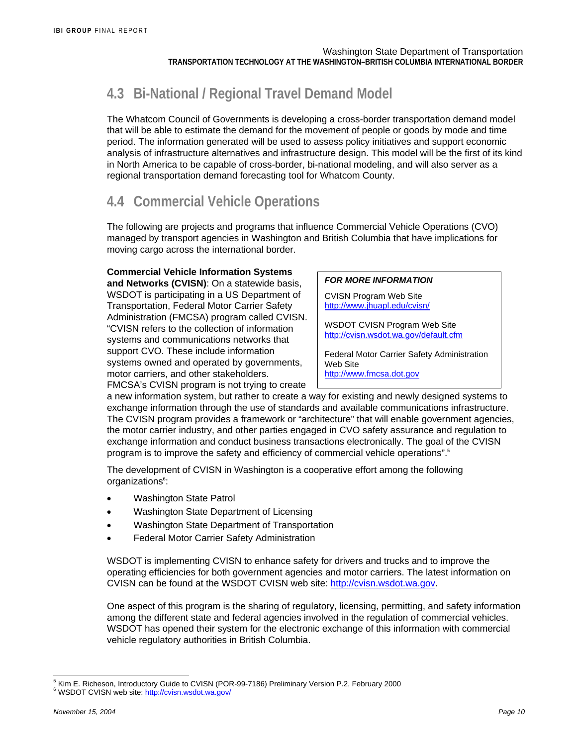# **4.3 Bi-National / Regional Travel Demand Model**

The Whatcom Council of Governments is developing a cross-border transportation demand model that will be able to estimate the demand for the movement of people or goods by mode and time period. The information generated will be used to assess policy initiatives and support economic analysis of infrastructure alternatives and infrastructure design. This model will be the first of its kind in North America to be capable of cross-border, bi-national modeling, and will also server as a regional transportation demand forecasting tool for Whatcom County.

# **4.4 Commercial Vehicle Operations**

The following are projects and programs that influence Commercial Vehicle Operations (CVO) managed by transport agencies in Washington and British Columbia that have implications for moving cargo across the international border.

#### **Commercial Vehicle Information Systems**

**and Networks (CVISN)**: On a statewide basis, WSDOT is participating in a US Department of Transportation, Federal Motor Carrier Safety Administration (FMCSA) program called CVISN. "CVISN refers to the collection of information systems and communications networks that support CVO. These include information systems owned and operated by governments, motor carriers, and other stakeholders. FMCSA's CVISN program is not trying to create

#### *FOR MORE INFORMATION*

CVISN Program Web Site http://www.jhuapl.edu/cvisn/

WSDOT CVISN Program Web Site http://cvisn.wsdot.wa.gov/default.cfm

Federal Motor Carrier Safety Administration Web Site http://www.fmcsa.dot.gov

a new information system, but rather to create a way for existing and newly designed systems to exchange information through the use of standards and available communications infrastructure. The CVISN program provides a framework or "architecture" that will enable government agencies, the motor carrier industry, and other parties engaged in CVO safety assurance and regulation to exchange information and conduct business transactions electronically. The goal of the CVISN program is to improve the safety and efficiency of commercial vehicle operations".5

The development of CVISN in Washington is a cooperative effort among the following organizations<sup>6</sup>:

- Washington State Patrol
- Washington State Department of Licensing
- Washington State Department of Transportation
- Federal Motor Carrier Safety Administration

WSDOT is implementing CVISN to enhance safety for drivers and trucks and to improve the operating efficiencies for both government agencies and motor carriers. The latest information on CVISN can be found at the WSDOT CVISN web site: http://cvisn.wsdot.wa.gov.

One aspect of this program is the sharing of regulatory, licensing, permitting, and safety information among the different state and federal agencies involved in the regulation of commercial vehicles. WSDOT has opened their system for the electronic exchange of this information with commercial vehicle regulatory authorities in British Columbia.

l <sup>5</sup> Kim E. Richeson, Introductory Guide to CVISN (POR-99-7186) Preliminary Version P.2, February 2000 WSDOT CVISN web site: http://cvisn.wsdot.wa.gov/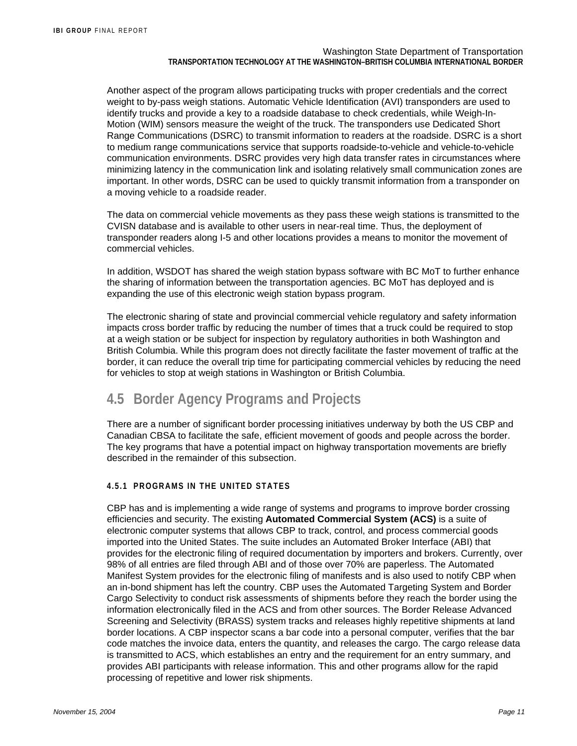Another aspect of the program allows participating trucks with proper credentials and the correct weight to by-pass weigh stations. Automatic Vehicle Identification (AVI) transponders are used to identify trucks and provide a key to a roadside database to check credentials, while Weigh-In-Motion (WIM) sensors measure the weight of the truck. The transponders use Dedicated Short Range Communications (DSRC) to transmit information to readers at the roadside. DSRC is a short to medium range communications service that supports roadside-to-vehicle and vehicle-to-vehicle communication environments. DSRC provides very high data transfer rates in circumstances where minimizing latency in the communication link and isolating relatively small communication zones are important. In other words, DSRC can be used to quickly transmit information from a transponder on a moving vehicle to a roadside reader.

The data on commercial vehicle movements as they pass these weigh stations is transmitted to the CVISN database and is available to other users in near-real time. Thus, the deployment of transponder readers along I-5 and other locations provides a means to monitor the movement of commercial vehicles.

In addition, WSDOT has shared the weigh station bypass software with BC MoT to further enhance the sharing of information between the transportation agencies. BC MoT has deployed and is expanding the use of this electronic weigh station bypass program.

The electronic sharing of state and provincial commercial vehicle regulatory and safety information impacts cross border traffic by reducing the number of times that a truck could be required to stop at a weigh station or be subject for inspection by regulatory authorities in both Washington and British Columbia. While this program does not directly facilitate the faster movement of traffic at the border, it can reduce the overall trip time for participating commercial vehicles by reducing the need for vehicles to stop at weigh stations in Washington or British Columbia.

# **4.5 Border Agency Programs and Projects**

There are a number of significant border processing initiatives underway by both the US CBP and Canadian CBSA to facilitate the safe, efficient movement of goods and people across the border. The key programs that have a potential impact on highway transportation movements are briefly described in the remainder of this subsection.

#### **4.5.1 PROGRAMS IN THE UNITED STATES**

CBP has and is implementing a wide range of systems and programs to improve border crossing efficiencies and security. The existing **Automated Commercial System (ACS)** is a suite of electronic computer systems that allows CBP to track, control, and process commercial goods imported into the United States. The suite includes an Automated Broker Interface (ABI) that provides for the electronic filing of required documentation by importers and brokers. Currently, over 98% of all entries are filed through ABI and of those over 70% are paperless. The Automated Manifest System provides for the electronic filing of manifests and is also used to notify CBP when an in-bond shipment has left the country. CBP uses the Automated Targeting System and Border Cargo Selectivity to conduct risk assessments of shipments before they reach the border using the information electronically filed in the ACS and from other sources. The Border Release Advanced Screening and Selectivity (BRASS) system tracks and releases highly repetitive shipments at land border locations. A CBP inspector scans a bar code into a personal computer, verifies that the bar code matches the invoice data, enters the quantity, and releases the cargo. The cargo release data is transmitted to ACS, which establishes an entry and the requirement for an entry summary, and provides ABI participants with release information. This and other programs allow for the rapid processing of repetitive and lower risk shipments.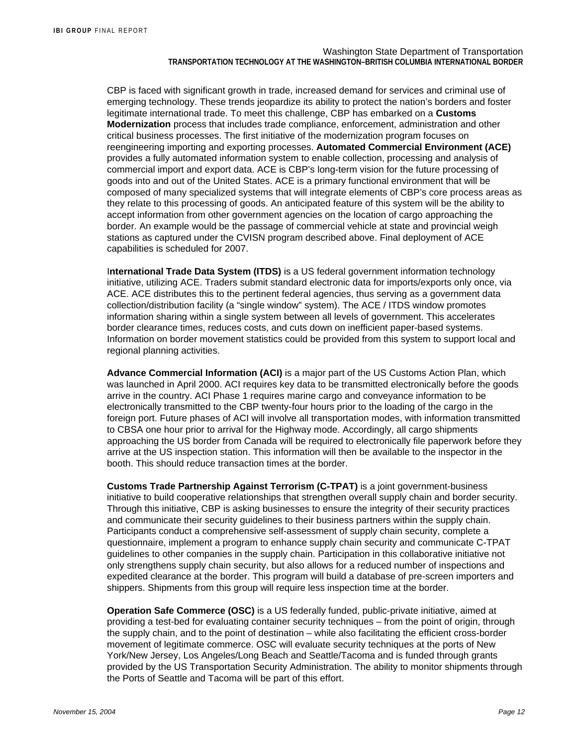CBP is faced with significant growth in trade, increased demand for services and criminal use of emerging technology. These trends jeopardize its ability to protect the nation's borders and foster legitimate international trade. To meet this challenge, CBP has embarked on a **Customs Modernization** process that includes trade compliance, enforcement, administration and other critical business processes. The first initiative of the modernization program focuses on reengineering importing and exporting processes. **Automated Commercial Environment (ACE)** provides a fully automated information system to enable collection, processing and analysis of commercial import and export data. ACE is CBP's long-term vision for the future processing of goods into and out of the United States. ACE is a primary functional environment that will be composed of many specialized systems that will integrate elements of CBP's core process areas as they relate to this processing of goods. An anticipated feature of this system will be the ability to accept information from other government agencies on the location of cargo approaching the border. An example would be the passage of commercial vehicle at state and provincial weigh stations as captured under the CVISN program described above. Final deployment of ACE capabilities is scheduled for 2007.

I**nternational Trade Data System (ITDS)** is a US federal government information technology initiative, utilizing ACE. Traders submit standard electronic data for imports/exports only once, via ACE. ACE distributes this to the pertinent federal agencies, thus serving as a government data collection/distribution facility (a "single window" system). The ACE / ITDS window promotes information sharing within a single system between all levels of government. This accelerates border clearance times, reduces costs, and cuts down on inefficient paper-based systems. Information on border movement statistics could be provided from this system to support local and regional planning activities.

**Advance Commercial Information (ACI)** is a major part of the US Customs Action Plan, which was launched in April 2000. ACI requires key data to be transmitted electronically before the goods arrive in the country. ACI Phase 1 requires marine cargo and conveyance information to be electronically transmitted to the CBP twenty-four hours prior to the loading of the cargo in the foreign port. Future phases of ACI will involve all transportation modes, with information transmitted to CBSA one hour prior to arrival for the Highway mode. Accordingly, all cargo shipments approaching the US border from Canada will be required to electronically file paperwork before they arrive at the US inspection station. This information will then be available to the inspector in the booth. This should reduce transaction times at the border.

**Customs Trade Partnership Against Terrorism (C-TPAT)** is a joint government-business initiative to build cooperative relationships that strengthen overall supply chain and border security. Through this initiative, CBP is asking businesses to ensure the integrity of their security practices and communicate their security guidelines to their business partners within the supply chain. Participants conduct a comprehensive self-assessment of supply chain security, complete a questionnaire, implement a program to enhance supply chain security and communicate C-TPAT guidelines to other companies in the supply chain. Participation in this collaborative initiative not only strengthens supply chain security, but also allows for a reduced number of inspections and expedited clearance at the border. This program will build a database of pre-screen importers and shippers. Shipments from this group will require less inspection time at the border.

**Operation Safe Commerce (OSC)** is a US federally funded, public-private initiative, aimed at providing a test-bed for evaluating container security techniques – from the point of origin, through the supply chain, and to the point of destination – while also facilitating the efficient cross-border movement of legitimate commerce. OSC will evaluate security techniques at the ports of New York/New Jersey, Los Angeles/Long Beach and Seattle/Tacoma and is funded through grants provided by the US Transportation Security Administration. The ability to monitor shipments through the Ports of Seattle and Tacoma will be part of this effort.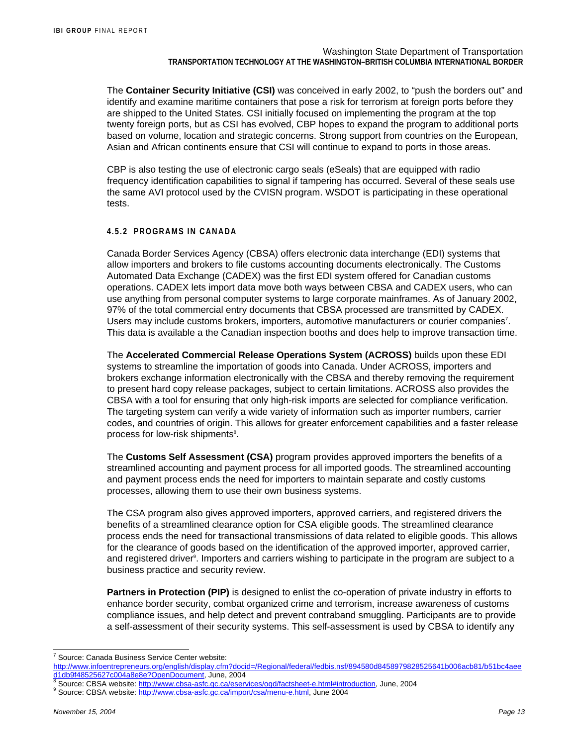The **Container Security Initiative (CSI)** was conceived in early 2002, to "push the borders out" and identify and examine maritime containers that pose a risk for terrorism at foreign ports before they are shipped to the United States. CSI initially focused on implementing the program at the top twenty foreign ports, but as CSI has evolved, CBP hopes to expand the program to additional ports based on volume, location and strategic concerns. Strong support from countries on the European, Asian and African continents ensure that CSI will continue to expand to ports in those areas.

CBP is also testing the use of electronic cargo seals (eSeals) that are equipped with radio frequency identification capabilities to signal if tampering has occurred. Several of these seals use the same AVI protocol used by the CVISN program. WSDOT is participating in these operational tests.

#### **4.5.2 PROGRAMS IN CANADA**

Canada Border Services Agency (CBSA) offers electronic data interchange (EDI) systems that allow importers and brokers to file customs accounting documents electronically. The Customs Automated Data Exchange (CADEX) was the first EDI system offered for Canadian customs operations. CADEX lets import data move both ways between CBSA and CADEX users, who can use anything from personal computer systems to large corporate mainframes. As of January 2002, 97% of the total commercial entry documents that CBSA processed are transmitted by CADEX. Users may include customs brokers, importers, automotive manufacturers or courier companies<sup>7</sup>. This data is available a the Canadian inspection booths and does help to improve transaction time.

The **Accelerated Commercial Release Operations System (ACROSS)** builds upon these EDI systems to streamline the importation of goods into Canada. Under ACROSS, importers and brokers exchange information electronically with the CBSA and thereby removing the requirement to present hard copy release packages, subject to certain limitations. ACROSS also provides the CBSA with a tool for ensuring that only high-risk imports are selected for compliance verification. The targeting system can verify a wide variety of information such as importer numbers, carrier codes, and countries of origin. This allows for greater enforcement capabilities and a faster release process for low-risk shipments<sup>8</sup>.

The **Customs Self Assessment (CSA)** program provides approved importers the benefits of a streamlined accounting and payment process for all imported goods. The streamlined accounting and payment process ends the need for importers to maintain separate and costly customs processes, allowing them to use their own business systems.

The CSA program also gives approved importers, approved carriers, and registered drivers the benefits of a streamlined clearance option for CSA eligible goods. The streamlined clearance process ends the need for transactional transmissions of data related to eligible goods. This allows for the clearance of goods based on the identification of the approved importer, approved carrier, and registered driver<sup>9</sup>. Importers and carriers wishing to participate in the program are subject to a business practice and security review.

**Partners in Protection (PIP)** is designed to enlist the co-operation of private industry in efforts to enhance border security, combat organized crime and terrorism, increase awareness of customs compliance issues, and help detect and prevent contraband smuggling. Participants are to provide a self-assessment of their security systems. This self-assessment is used by CBSA to identify any

l

<sup>&</sup>lt;sup>7</sup> Source: Canada Business Service Center website:

http://www.infoentrepreneurs.org/english/display.cfm?docid=/Regional/federal/fedbis.nsf/894580d8458979828525641b006acb81/b51bc4aee d1db9f48525627c004a8e8e?OpenDocument, June, 2004 8

Source: CBSA website: http://www.cbsa-asfc.gc.ca/eservices/ogd/factsheet-e.html#introduction, June, 2004

<sup>&</sup>lt;sup>9</sup> Source: CBSA website: <u>http://www.cbsa-asfc.gc.ca/import/csa/menu-e.html</u>, June 2004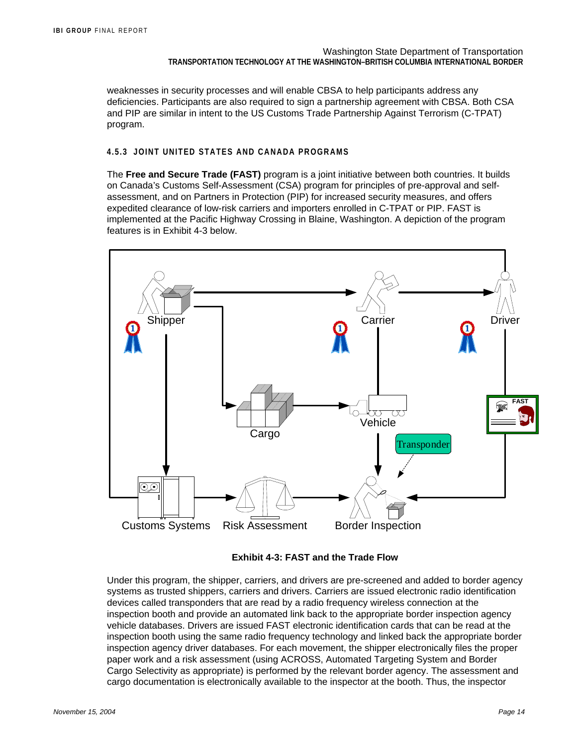weaknesses in security processes and will enable CBSA to help participants address any deficiencies. Participants are also required to sign a partnership agreement with CBSA. Both CSA and PIP are similar in intent to the US Customs Trade Partnership Against Terrorism (C-TPAT) program.

#### **4.5.3 JOINT UNITED STATES AND CANADA PROGRAMS**

The **Free and Secure Trade (FAST)** program is a joint initiative between both countries. It builds on Canada's Customs Self-Assessment (CSA) program for principles of pre-approval and selfassessment, and on Partners in Protection (PIP) for increased security measures, and offers expedited clearance of low-risk carriers and importers enrolled in C-TPAT or PIP. FAST is implemented at the Pacific Highway Crossing in Blaine, Washington. A depiction of the program features is in Exhibit 4-3 below.



**Exhibit 4-3: FAST and the Trade Flow** 

Under this program, the shipper, carriers, and drivers are pre-screened and added to border agency systems as trusted shippers, carriers and drivers. Carriers are issued electronic radio identification devices called transponders that are read by a radio frequency wireless connection at the inspection booth and provide an automated link back to the appropriate border inspection agency vehicle databases. Drivers are issued FAST electronic identification cards that can be read at the inspection booth using the same radio frequency technology and linked back the appropriate border inspection agency driver databases. For each movement, the shipper electronically files the proper paper work and a risk assessment (using ACROSS, Automated Targeting System and Border Cargo Selectivity as appropriate) is performed by the relevant border agency. The assessment and cargo documentation is electronically available to the inspector at the booth. Thus, the inspector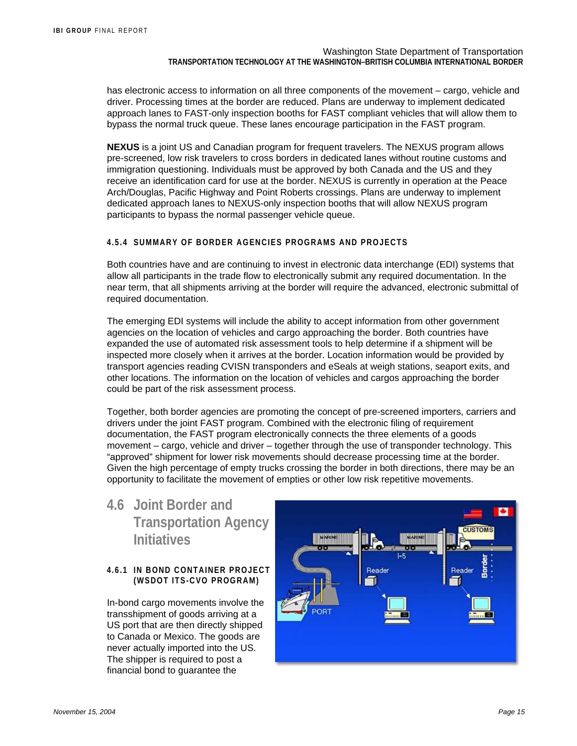has electronic access to information on all three components of the movement – cargo, vehicle and driver. Processing times at the border are reduced. Plans are underway to implement dedicated approach lanes to FAST-only inspection booths for FAST compliant vehicles that will allow them to bypass the normal truck queue. These lanes encourage participation in the FAST program.

**NEXUS** is a joint US and Canadian program for frequent travelers. The NEXUS program allows pre-screened, low risk travelers to cross borders in dedicated lanes without routine customs and immigration questioning. Individuals must be approved by both Canada and the US and they receive an identification card for use at the border. NEXUS is currently in operation at the Peace Arch/Douglas, Pacific Highway and Point Roberts crossings. Plans are underway to implement dedicated approach lanes to NEXUS-only inspection booths that will allow NEXUS program participants to bypass the normal passenger vehicle queue.

#### **4.5.4 SUMMARY OF BORDER AGENCIES PROGRAMS AND PROJECTS**

Both countries have and are continuing to invest in electronic data interchange (EDI) systems that allow all participants in the trade flow to electronically submit any required documentation. In the near term, that all shipments arriving at the border will require the advanced, electronic submittal of required documentation.

The emerging EDI systems will include the ability to accept information from other government agencies on the location of vehicles and cargo approaching the border. Both countries have expanded the use of automated risk assessment tools to help determine if a shipment will be inspected more closely when it arrives at the border. Location information would be provided by transport agencies reading CVISN transponders and eSeals at weigh stations, seaport exits, and other locations. The information on the location of vehicles and cargos approaching the border could be part of the risk assessment process.

Together, both border agencies are promoting the concept of pre-screened importers, carriers and drivers under the joint FAST program. Combined with the electronic filing of requirement documentation, the FAST program electronically connects the three elements of a goods movement – cargo, vehicle and driver – together through the use of transponder technology. This "approved" shipment for lower risk movements should decrease processing time at the border. Given the high percentage of empty trucks crossing the border in both directions, there may be an opportunity to facilitate the movement of empties or other low risk repetitive movements.

## **4.6 Joint Border and Transportation Agency Initiatives**

#### **4.6.1 IN BOND CONTAINER PROJECT (WSDOT ITS-CVO PROGRAM)**

In-bond cargo movements involve the transshipment of goods arriving at a US port that are then directly shipped to Canada or Mexico. The goods are never actually imported into the US. The shipper is required to post a financial bond to guarantee the

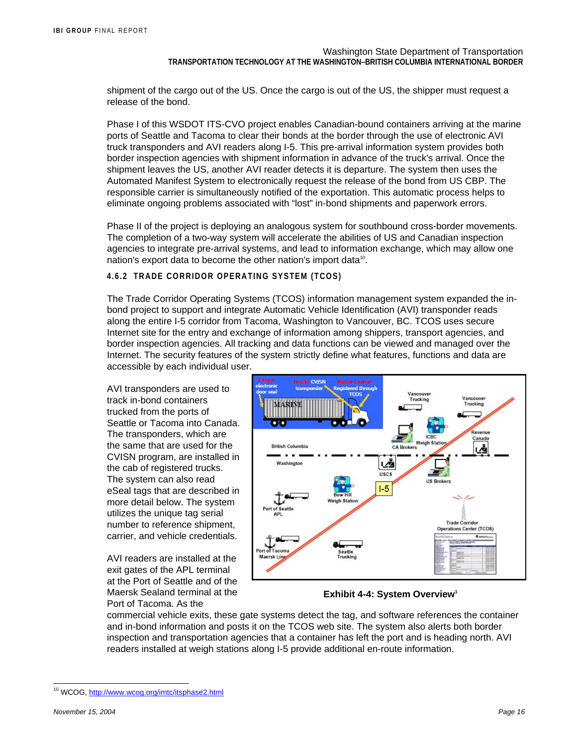shipment of the cargo out of the US. Once the cargo is out of the US, the shipper must request a release of the bond.

Phase I of this WSDOT ITS-CVO project enables Canadian-bound containers arriving at the marine ports of Seattle and Tacoma to clear their bonds at the border through the use of electronic AVI truck transponders and AVI readers along I-5. This pre-arrival information system provides both border inspection agencies with shipment information in advance of the truck's arrival. Once the shipment leaves the US, another AVI reader detects it is departure. The system then uses the Automated Manifest System to electronically request the release of the bond from US CBP. The responsible carrier is simultaneously notified of the exportation. This automatic process helps to eliminate ongoing problems associated with "lost" in-bond shipments and paperwork errors.

Phase II of the project is deploying an analogous system for southbound cross-border movements. The completion of a two-way system will accelerate the abilities of US and Canadian inspection agencies to integrate pre-arrival systems, and lead to information exchange, which may allow one nation's export data to become the other nation's import data<sup>10</sup>.

#### **4.6.2 TRADE CORRIDOR OPERATING SYSTEM (TCOS)**

The Trade Corridor Operating Systems (TCOS) information management system expanded the inbond project to support and integrate Automatic Vehicle Identification (AVI) transponder reads along the entire I-5 corridor from Tacoma, Washington to Vancouver, BC. TCOS uses secure Internet site for the entry and exchange of information among shippers, transport agencies, and border inspection agencies. All tracking and data functions can be viewed and managed over the Internet. The security features of the system strictly define what features, functions and data are accessible by each individual user.

AVI transponders are used to track in-bond containers trucked from the ports of Seattle or Tacoma into Canada. The transponders, which are the same that are used for the CVISN program, are installed in the cab of registered trucks. The system can also read eSeal tags that are described in more detail below. The system utilizes the unique tag serial number to reference shipment, carrier, and vehicle credentials.

AVI readers are installed at the exit gates of the APL terminal at the Port of Seattle and of the Maersk Sealand terminal at the Port of Tacoma. As the



**Exhibit 4-4: System Overview<sup>1</sup>** 

commercial vehicle exits, these gate systems detect the tag, and software references the container and in-bond information and posts it on the TCOS web site. The system also alerts both border inspection and transportation agencies that a container has left the port and is heading north. AVI readers installed at weigh stations along I-5 provide additional en-route information.

l

<sup>&</sup>lt;sup>10</sup> WCOG, http://www.wcog.org/imtc/itsphase2.html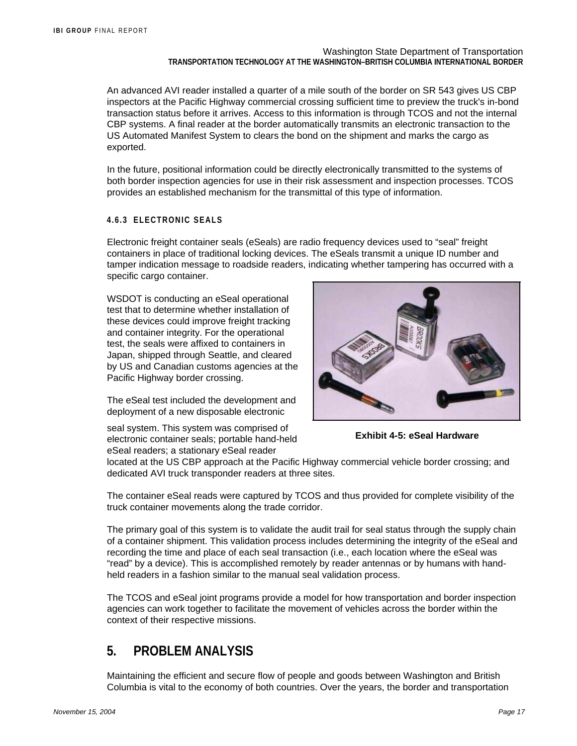An advanced AVI reader installed a quarter of a mile south of the border on SR 543 gives US CBP inspectors at the Pacific Highway commercial crossing sufficient time to preview the truck's in-bond transaction status before it arrives. Access to this information is through TCOS and not the internal CBP systems. A final reader at the border automatically transmits an electronic transaction to the US Automated Manifest System to clears the bond on the shipment and marks the cargo as exported.

In the future, positional information could be directly electronically transmitted to the systems of both border inspection agencies for use in their risk assessment and inspection processes. TCOS provides an established mechanism for the transmittal of this type of information.

#### **4.6.3 ELECTRONIC SEALS**

Electronic freight container seals (eSeals) are radio frequency devices used to "seal" freight containers in place of traditional locking devices. The eSeals transmit a unique ID number and tamper indication message to roadside readers, indicating whether tampering has occurred with a specific cargo container.

WSDOT is conducting an eSeal operational test that to determine whether installation of these devices could improve freight tracking and container integrity. For the operational test, the seals were affixed to containers in Japan, shipped through Seattle, and cleared by US and Canadian customs agencies at the Pacific Highway border crossing.

The eSeal test included the development and deployment of a new disposable electronic

seal system. This system was comprised of electronic container seals; portable hand-held eSeal readers; a stationary eSeal reader



**Exhibit 4-5: eSeal Hardware** 

located at the US CBP approach at the Pacific Highway commercial vehicle border crossing; and dedicated AVI truck transponder readers at three sites.

The container eSeal reads were captured by TCOS and thus provided for complete visibility of the truck container movements along the trade corridor.

The primary goal of this system is to validate the audit trail for seal status through the supply chain of a container shipment. This validation process includes determining the integrity of the eSeal and recording the time and place of each seal transaction (i.e., each location where the eSeal was "read" by a device). This is accomplished remotely by reader antennas or by humans with handheld readers in a fashion similar to the manual seal validation process.

The TCOS and eSeal joint programs provide a model for how transportation and border inspection agencies can work together to facilitate the movement of vehicles across the border within the context of their respective missions.

## **5. PROBLEM ANALYSIS**

Maintaining the efficient and secure flow of people and goods between Washington and British Columbia is vital to the economy of both countries. Over the years, the border and transportation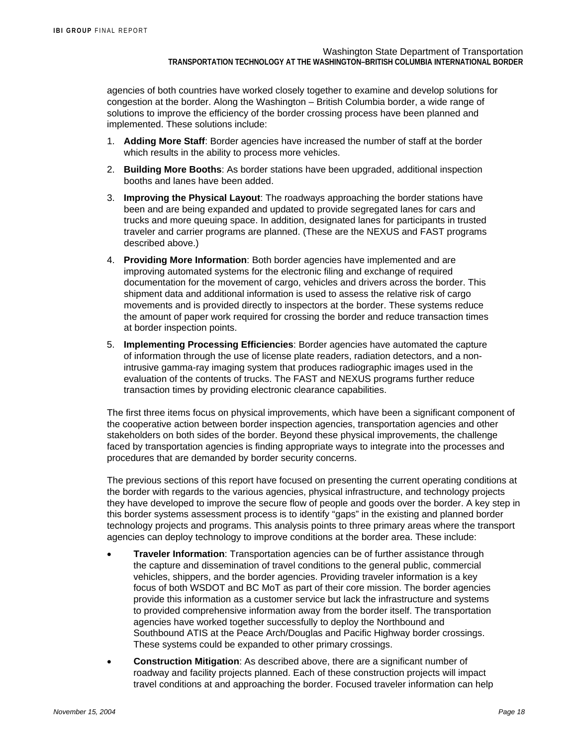agencies of both countries have worked closely together to examine and develop solutions for congestion at the border. Along the Washington – British Columbia border, a wide range of solutions to improve the efficiency of the border crossing process have been planned and implemented. These solutions include:

- 1. **Adding More Staff**: Border agencies have increased the number of staff at the border which results in the ability to process more vehicles.
- 2. **Building More Booths**: As border stations have been upgraded, additional inspection booths and lanes have been added.
- 3. **Improving the Physical Layout**: The roadways approaching the border stations have been and are being expanded and updated to provide segregated lanes for cars and trucks and more queuing space. In addition, designated lanes for participants in trusted traveler and carrier programs are planned. (These are the NEXUS and FAST programs described above.)
- 4. **Providing More Information**: Both border agencies have implemented and are improving automated systems for the electronic filing and exchange of required documentation for the movement of cargo, vehicles and drivers across the border. This shipment data and additional information is used to assess the relative risk of cargo movements and is provided directly to inspectors at the border. These systems reduce the amount of paper work required for crossing the border and reduce transaction times at border inspection points.
- 5. **Implementing Processing Efficiencies**: Border agencies have automated the capture of information through the use of license plate readers, radiation detectors, and a nonintrusive gamma-ray imaging system that produces radiographic images used in the evaluation of the contents of trucks. The FAST and NEXUS programs further reduce transaction times by providing electronic clearance capabilities.

The first three items focus on physical improvements, which have been a significant component of the cooperative action between border inspection agencies, transportation agencies and other stakeholders on both sides of the border. Beyond these physical improvements, the challenge faced by transportation agencies is finding appropriate ways to integrate into the processes and procedures that are demanded by border security concerns.

The previous sections of this report have focused on presenting the current operating conditions at the border with regards to the various agencies, physical infrastructure, and technology projects they have developed to improve the secure flow of people and goods over the border. A key step in this border systems assessment process is to identify "gaps" in the existing and planned border technology projects and programs. This analysis points to three primary areas where the transport agencies can deploy technology to improve conditions at the border area. These include:

- **Traveler Information**: Transportation agencies can be of further assistance through the capture and dissemination of travel conditions to the general public, commercial vehicles, shippers, and the border agencies. Providing traveler information is a key focus of both WSDOT and BC MoT as part of their core mission. The border agencies provide this information as a customer service but lack the infrastructure and systems to provided comprehensive information away from the border itself. The transportation agencies have worked together successfully to deploy the Northbound and Southbound ATIS at the Peace Arch/Douglas and Pacific Highway border crossings. These systems could be expanded to other primary crossings.
- **Construction Mitigation**: As described above, there are a significant number of roadway and facility projects planned. Each of these construction projects will impact travel conditions at and approaching the border. Focused traveler information can help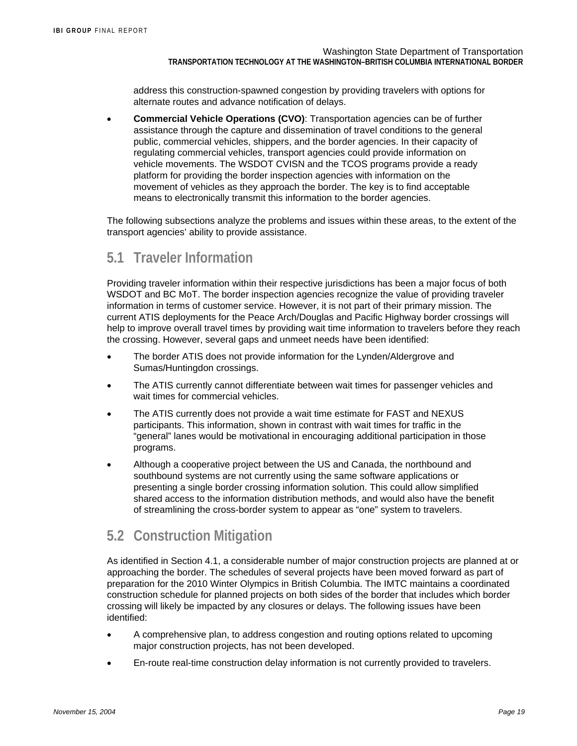address this construction-spawned congestion by providing travelers with options for alternate routes and advance notification of delays.

• **Commercial Vehicle Operations (CVO)**: Transportation agencies can be of further assistance through the capture and dissemination of travel conditions to the general public, commercial vehicles, shippers, and the border agencies. In their capacity of regulating commercial vehicles, transport agencies could provide information on vehicle movements. The WSDOT CVISN and the TCOS programs provide a ready platform for providing the border inspection agencies with information on the movement of vehicles as they approach the border. The key is to find acceptable means to electronically transmit this information to the border agencies.

The following subsections analyze the problems and issues within these areas, to the extent of the transport agencies' ability to provide assistance.

## **5.1 Traveler Information**

Providing traveler information within their respective jurisdictions has been a major focus of both WSDOT and BC MoT. The border inspection agencies recognize the value of providing traveler information in terms of customer service. However, it is not part of their primary mission. The current ATIS deployments for the Peace Arch/Douglas and Pacific Highway border crossings will help to improve overall travel times by providing wait time information to travelers before they reach the crossing. However, several gaps and unmeet needs have been identified:

- The border ATIS does not provide information for the Lynden/Aldergrove and Sumas/Huntingdon crossings.
- The ATIS currently cannot differentiate between wait times for passenger vehicles and wait times for commercial vehicles.
- The ATIS currently does not provide a wait time estimate for FAST and NEXUS participants. This information, shown in contrast with wait times for traffic in the "general" lanes would be motivational in encouraging additional participation in those programs.
- Although a cooperative project between the US and Canada, the northbound and southbound systems are not currently using the same software applications or presenting a single border crossing information solution. This could allow simplified shared access to the information distribution methods, and would also have the benefit of streamlining the cross-border system to appear as "one" system to travelers.

# **5.2 Construction Mitigation**

As identified in Section 4.1, a considerable number of major construction projects are planned at or approaching the border. The schedules of several projects have been moved forward as part of preparation for the 2010 Winter Olympics in British Columbia. The IMTC maintains a coordinated construction schedule for planned projects on both sides of the border that includes which border crossing will likely be impacted by any closures or delays. The following issues have been identified:

- A comprehensive plan, to address congestion and routing options related to upcoming major construction projects, has not been developed.
- En-route real-time construction delay information is not currently provided to travelers.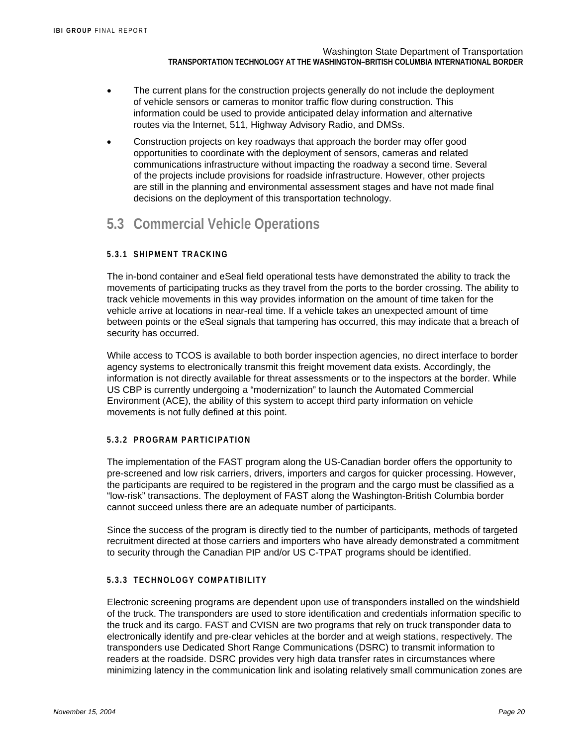- The current plans for the construction projects generally do not include the deployment of vehicle sensors or cameras to monitor traffic flow during construction. This information could be used to provide anticipated delay information and alternative routes via the Internet, 511, Highway Advisory Radio, and DMSs.
- Construction projects on key roadways that approach the border may offer good opportunities to coordinate with the deployment of sensors, cameras and related communications infrastructure without impacting the roadway a second time. Several of the projects include provisions for roadside infrastructure. However, other projects are still in the planning and environmental assessment stages and have not made final decisions on the deployment of this transportation technology.

## **5.3 Commercial Vehicle Operations**

#### **5.3.1 SHIPMENT TRACKING**

The in-bond container and eSeal field operational tests have demonstrated the ability to track the movements of participating trucks as they travel from the ports to the border crossing. The ability to track vehicle movements in this way provides information on the amount of time taken for the vehicle arrive at locations in near-real time. If a vehicle takes an unexpected amount of time between points or the eSeal signals that tampering has occurred, this may indicate that a breach of security has occurred.

While access to TCOS is available to both border inspection agencies, no direct interface to border agency systems to electronically transmit this freight movement data exists. Accordingly, the information is not directly available for threat assessments or to the inspectors at the border. While US CBP is currently undergoing a "modernization" to launch the Automated Commercial Environment (ACE), the ability of this system to accept third party information on vehicle movements is not fully defined at this point.

#### **5.3.2 PROGRAM PARTICIPATION**

The implementation of the FAST program along the US-Canadian border offers the opportunity to pre-screened and low risk carriers, drivers, importers and cargos for quicker processing. However, the participants are required to be registered in the program and the cargo must be classified as a "low-risk" transactions. The deployment of FAST along the Washington-British Columbia border cannot succeed unless there are an adequate number of participants.

Since the success of the program is directly tied to the number of participants, methods of targeted recruitment directed at those carriers and importers who have already demonstrated a commitment to security through the Canadian PIP and/or US C-TPAT programs should be identified.

#### **5.3.3 TECHNOLOGY COMPATIBILITY**

Electronic screening programs are dependent upon use of transponders installed on the windshield of the truck. The transponders are used to store identification and credentials information specific to the truck and its cargo. FAST and CVISN are two programs that rely on truck transponder data to electronically identify and pre-clear vehicles at the border and at weigh stations, respectively. The transponders use Dedicated Short Range Communications (DSRC) to transmit information to readers at the roadside. DSRC provides very high data transfer rates in circumstances where minimizing latency in the communication link and isolating relatively small communication zones are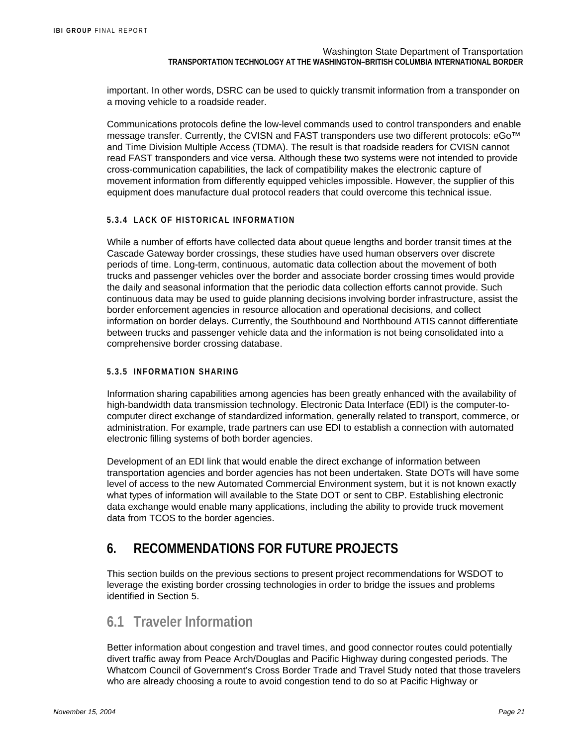important. In other words, DSRC can be used to quickly transmit information from a transponder on a moving vehicle to a roadside reader.

Communications protocols define the low-level commands used to control transponders and enable message transfer. Currently, the CVISN and FAST transponders use two different protocols: eGo™ and Time Division Multiple Access (TDMA). The result is that roadside readers for CVISN cannot read FAST transponders and vice versa. Although these two systems were not intended to provide cross-communication capabilities, the lack of compatibility makes the electronic capture of movement information from differently equipped vehicles impossible. However, the supplier of this equipment does manufacture dual protocol readers that could overcome this technical issue.

#### **5.3.4 LACK OF HISTORICAL INFORMATION**

While a number of efforts have collected data about queue lengths and border transit times at the Cascade Gateway border crossings, these studies have used human observers over discrete periods of time. Long-term, continuous, automatic data collection about the movement of both trucks and passenger vehicles over the border and associate border crossing times would provide the daily and seasonal information that the periodic data collection efforts cannot provide. Such continuous data may be used to guide planning decisions involving border infrastructure, assist the border enforcement agencies in resource allocation and operational decisions, and collect information on border delays. Currently, the Southbound and Northbound ATIS cannot differentiate between trucks and passenger vehicle data and the information is not being consolidated into a comprehensive border crossing database.

#### **5.3.5 INFORMATION SHARING**

Information sharing capabilities among agencies has been greatly enhanced with the availability of high-bandwidth data transmission technology. Electronic Data Interface (EDI) is the computer-tocomputer direct exchange of standardized information, generally related to transport, commerce, or administration. For example, trade partners can use EDI to establish a connection with automated electronic filling systems of both border agencies.

Development of an EDI link that would enable the direct exchange of information between transportation agencies and border agencies has not been undertaken. State DOTs will have some level of access to the new Automated Commercial Environment system, but it is not known exactly what types of information will available to the State DOT or sent to CBP. Establishing electronic data exchange would enable many applications, including the ability to provide truck movement data from TCOS to the border agencies.

## **6. RECOMMENDATIONS FOR FUTURE PROJECTS**

This section builds on the previous sections to present project recommendations for WSDOT to leverage the existing border crossing technologies in order to bridge the issues and problems identified in Section 5.

## **6.1 Traveler Information**

Better information about congestion and travel times, and good connector routes could potentially divert traffic away from Peace Arch/Douglas and Pacific Highway during congested periods. The Whatcom Council of Government's Cross Border Trade and Travel Study noted that those travelers who are already choosing a route to avoid congestion tend to do so at Pacific Highway or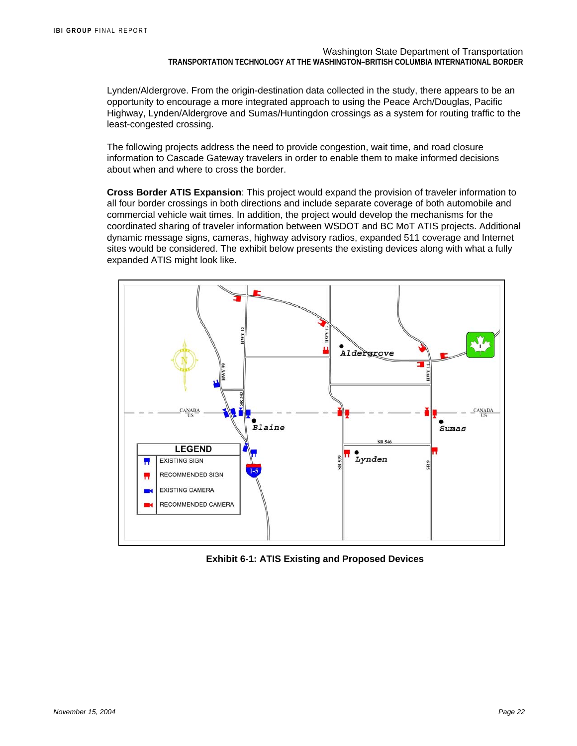Lynden/Aldergrove. From the origin-destination data collected in the study, there appears to be an opportunity to encourage a more integrated approach to using the Peace Arch/Douglas, Pacific Highway, Lynden/Aldergrove and Sumas/Huntingdon crossings as a system for routing traffic to the least-congested crossing.

The following projects address the need to provide congestion, wait time, and road closure information to Cascade Gateway travelers in order to enable them to make informed decisions about when and where to cross the border.

**Cross Border ATIS Expansion**: This project would expand the provision of traveler information to all four border crossings in both directions and include separate coverage of both automobile and commercial vehicle wait times. In addition, the project would develop the mechanisms for the coordinated sharing of traveler information between WSDOT and BC MoT ATIS projects. Additional dynamic message signs, cameras, highway advisory radios, expanded 511 coverage and Internet sites would be considered. The exhibit below presents the existing devices along with what a fully expanded ATIS might look like.



**Exhibit 6-1: ATIS Existing and Proposed Devices**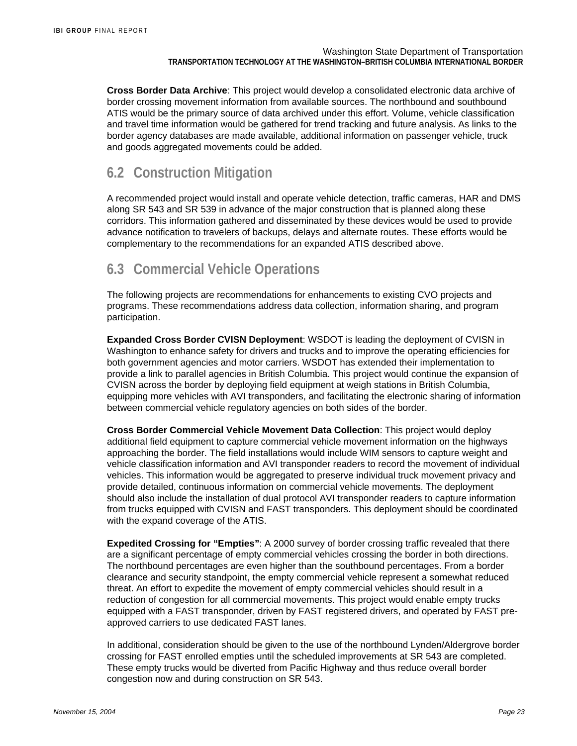**Cross Border Data Archive**: This project would develop a consolidated electronic data archive of border crossing movement information from available sources. The northbound and southbound ATIS would be the primary source of data archived under this effort. Volume, vehicle classification and travel time information would be gathered for trend tracking and future analysis. As links to the border agency databases are made available, additional information on passenger vehicle, truck and goods aggregated movements could be added.

## **6.2 Construction Mitigation**

A recommended project would install and operate vehicle detection, traffic cameras, HAR and DMS along SR 543 and SR 539 in advance of the major construction that is planned along these corridors. This information gathered and disseminated by these devices would be used to provide advance notification to travelers of backups, delays and alternate routes. These efforts would be complementary to the recommendations for an expanded ATIS described above.

# **6.3 Commercial Vehicle Operations**

The following projects are recommendations for enhancements to existing CVO projects and programs. These recommendations address data collection, information sharing, and program participation.

**Expanded Cross Border CVISN Deployment**: WSDOT is leading the deployment of CVISN in Washington to enhance safety for drivers and trucks and to improve the operating efficiencies for both government agencies and motor carriers. WSDOT has extended their implementation to provide a link to parallel agencies in British Columbia. This project would continue the expansion of CVISN across the border by deploying field equipment at weigh stations in British Columbia, equipping more vehicles with AVI transponders, and facilitating the electronic sharing of information between commercial vehicle regulatory agencies on both sides of the border.

**Cross Border Commercial Vehicle Movement Data Collection**: This project would deploy additional field equipment to capture commercial vehicle movement information on the highways approaching the border. The field installations would include WIM sensors to capture weight and vehicle classification information and AVI transponder readers to record the movement of individual vehicles. This information would be aggregated to preserve individual truck movement privacy and provide detailed, continuous information on commercial vehicle movements. The deployment should also include the installation of dual protocol AVI transponder readers to capture information from trucks equipped with CVISN and FAST transponders. This deployment should be coordinated with the expand coverage of the ATIS.

**Expedited Crossing for "Empties"**: A 2000 survey of border crossing traffic revealed that there are a significant percentage of empty commercial vehicles crossing the border in both directions. The northbound percentages are even higher than the southbound percentages. From a border clearance and security standpoint, the empty commercial vehicle represent a somewhat reduced threat. An effort to expedite the movement of empty commercial vehicles should result in a reduction of congestion for all commercial movements. This project would enable empty trucks equipped with a FAST transponder, driven by FAST registered drivers, and operated by FAST preapproved carriers to use dedicated FAST lanes.

In additional, consideration should be given to the use of the northbound Lynden/Aldergrove border crossing for FAST enrolled empties until the scheduled improvements at SR 543 are completed. These empty trucks would be diverted from Pacific Highway and thus reduce overall border congestion now and during construction on SR 543.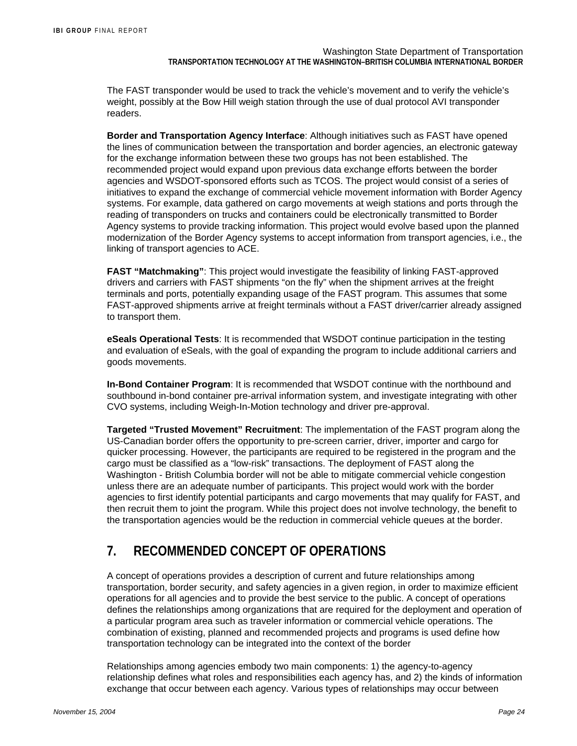The FAST transponder would be used to track the vehicle's movement and to verify the vehicle's weight, possibly at the Bow Hill weigh station through the use of dual protocol AVI transponder readers.

**Border and Transportation Agency Interface**: Although initiatives such as FAST have opened the lines of communication between the transportation and border agencies, an electronic gateway for the exchange information between these two groups has not been established. The recommended project would expand upon previous data exchange efforts between the border agencies and WSDOT-sponsored efforts such as TCOS. The project would consist of a series of initiatives to expand the exchange of commercial vehicle movement information with Border Agency systems. For example, data gathered on cargo movements at weigh stations and ports through the reading of transponders on trucks and containers could be electronically transmitted to Border Agency systems to provide tracking information. This project would evolve based upon the planned modernization of the Border Agency systems to accept information from transport agencies, i.e., the linking of transport agencies to ACE.

**FAST "Matchmaking"**: This project would investigate the feasibility of linking FAST-approved drivers and carriers with FAST shipments "on the fly" when the shipment arrives at the freight terminals and ports, potentially expanding usage of the FAST program. This assumes that some FAST-approved shipments arrive at freight terminals without a FAST driver/carrier already assigned to transport them.

**eSeals Operational Tests**: It is recommended that WSDOT continue participation in the testing and evaluation of eSeals, with the goal of expanding the program to include additional carriers and goods movements.

**In-Bond Container Program**: It is recommended that WSDOT continue with the northbound and southbound in-bond container pre-arrival information system, and investigate integrating with other CVO systems, including Weigh-In-Motion technology and driver pre-approval.

**Targeted "Trusted Movement" Recruitment**: The implementation of the FAST program along the US-Canadian border offers the opportunity to pre-screen carrier, driver, importer and cargo for quicker processing. However, the participants are required to be registered in the program and the cargo must be classified as a "low-risk" transactions. The deployment of FAST along the Washington - British Columbia border will not be able to mitigate commercial vehicle congestion unless there are an adequate number of participants. This project would work with the border agencies to first identify potential participants and cargo movements that may qualify for FAST, and then recruit them to joint the program. While this project does not involve technology, the benefit to the transportation agencies would be the reduction in commercial vehicle queues at the border.

# **7. RECOMMENDED CONCEPT OF OPERATIONS**

A concept of operations provides a description of current and future relationships among transportation, border security, and safety agencies in a given region, in order to maximize efficient operations for all agencies and to provide the best service to the public. A concept of operations defines the relationships among organizations that are required for the deployment and operation of a particular program area such as traveler information or commercial vehicle operations. The combination of existing, planned and recommended projects and programs is used define how transportation technology can be integrated into the context of the border

Relationships among agencies embody two main components: 1) the agency-to-agency relationship defines what roles and responsibilities each agency has, and 2) the kinds of information exchange that occur between each agency. Various types of relationships may occur between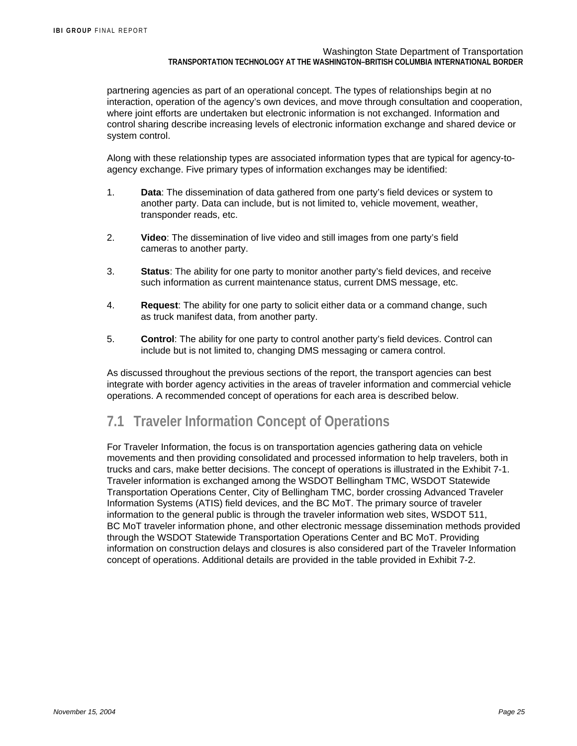partnering agencies as part of an operational concept. The types of relationships begin at no interaction, operation of the agency's own devices, and move through consultation and cooperation, where joint efforts are undertaken but electronic information is not exchanged. Information and control sharing describe increasing levels of electronic information exchange and shared device or system control.

Along with these relationship types are associated information types that are typical for agency-toagency exchange. Five primary types of information exchanges may be identified:

- 1. **Data**: The dissemination of data gathered from one party's field devices or system to another party. Data can include, but is not limited to, vehicle movement, weather, transponder reads, etc.
- 2. **Video**: The dissemination of live video and still images from one party's field cameras to another party.
- 3. **Status**: The ability for one party to monitor another party's field devices, and receive such information as current maintenance status, current DMS message, etc.
- 4. **Request**: The ability for one party to solicit either data or a command change, such as truck manifest data, from another party.
- 5. **Control**: The ability for one party to control another party's field devices. Control can include but is not limited to, changing DMS messaging or camera control.

As discussed throughout the previous sections of the report, the transport agencies can best integrate with border agency activities in the areas of traveler information and commercial vehicle operations. A recommended concept of operations for each area is described below.

## **7.1 Traveler Information Concept of Operations**

For Traveler Information, the focus is on transportation agencies gathering data on vehicle movements and then providing consolidated and processed information to help travelers, both in trucks and cars, make better decisions. The concept of operations is illustrated in the Exhibit 7-1. Traveler information is exchanged among the WSDOT Bellingham TMC, WSDOT Statewide Transportation Operations Center, City of Bellingham TMC, border crossing Advanced Traveler Information Systems (ATIS) field devices, and the BC MoT. The primary source of traveler information to the general public is through the traveler information web sites, WSDOT 511, BC MoT traveler information phone, and other electronic message dissemination methods provided through the WSDOT Statewide Transportation Operations Center and BC MoT. Providing information on construction delays and closures is also considered part of the Traveler Information concept of operations. Additional details are provided in the table provided in Exhibit 7-2.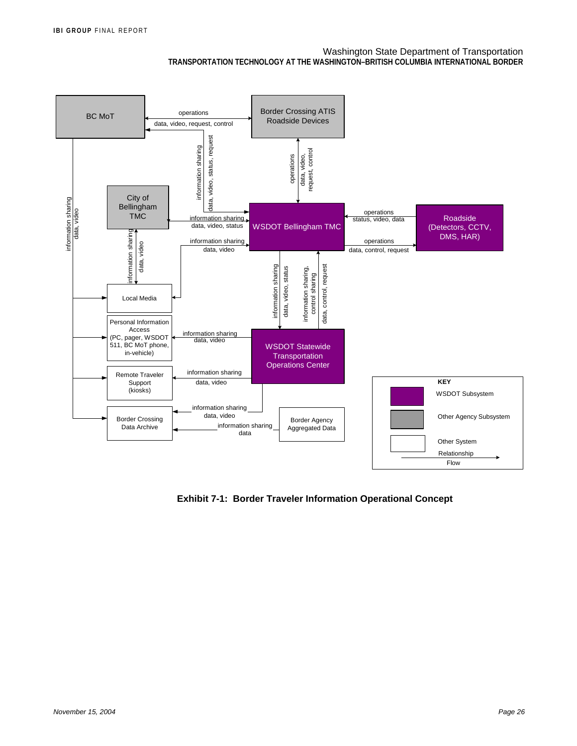

**Exhibit 7-1: Border Traveler Information Operational Concept**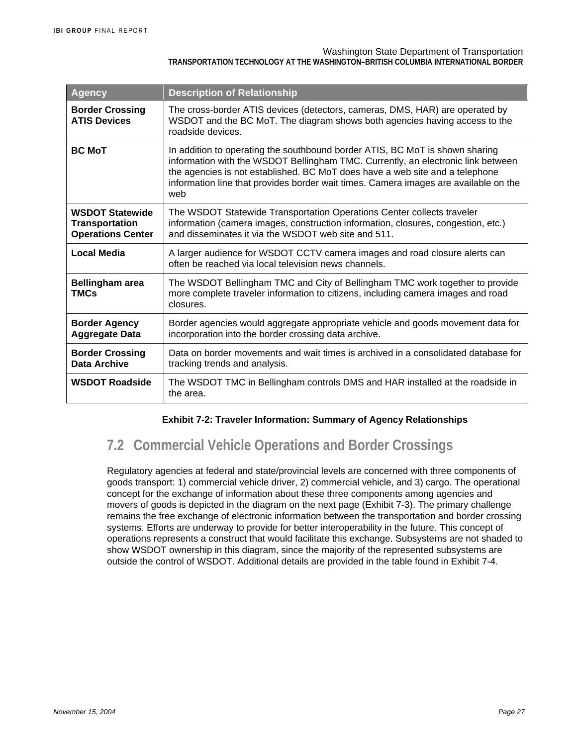#### Washington State Department of Transportation

#### **TRANSPORTATION TECHNOLOGY AT THE WASHINGTON–BRITISH COLUMBIA INTERNATIONAL BORDER**

| Agency                                                                      | <b>Description of Relationship</b>                                                                                                                                                                                                                                                                                                              |
|-----------------------------------------------------------------------------|-------------------------------------------------------------------------------------------------------------------------------------------------------------------------------------------------------------------------------------------------------------------------------------------------------------------------------------------------|
| <b>Border Crossing</b><br><b>ATIS Devices</b>                               | The cross-border ATIS devices (detectors, cameras, DMS, HAR) are operated by<br>WSDOT and the BC MoT. The diagram shows both agencies having access to the<br>roadside devices.                                                                                                                                                                 |
| <b>BC MoT</b>                                                               | In addition to operating the southbound border ATIS, BC MoT is shown sharing<br>information with the WSDOT Bellingham TMC. Currently, an electronic link between<br>the agencies is not established. BC MoT does have a web site and a telephone<br>information line that provides border wait times. Camera images are available on the<br>web |
| <b>WSDOT Statewide</b><br><b>Transportation</b><br><b>Operations Center</b> | The WSDOT Statewide Transportation Operations Center collects traveler<br>information (camera images, construction information, closures, congestion, etc.)<br>and disseminates it via the WSDOT web site and 511.                                                                                                                              |
| Local Media                                                                 | A larger audience for WSDOT CCTV camera images and road closure alerts can<br>often be reached via local television news channels.                                                                                                                                                                                                              |
| <b>Bellingham area</b><br><b>TMCs</b>                                       | The WSDOT Bellingham TMC and City of Bellingham TMC work together to provide<br>more complete traveler information to citizens, including camera images and road<br>closures.                                                                                                                                                                   |
| <b>Border Agency</b><br><b>Aggregate Data</b>                               | Border agencies would aggregate appropriate vehicle and goods movement data for<br>incorporation into the border crossing data archive.                                                                                                                                                                                                         |
| <b>Border Crossing</b><br>Data Archive                                      | Data on border movements and wait times is archived in a consolidated database for<br>tracking trends and analysis.                                                                                                                                                                                                                             |
| <b>WSDOT Roadside</b>                                                       | The WSDOT TMC in Bellingham controls DMS and HAR installed at the roadside in<br>the area.                                                                                                                                                                                                                                                      |

#### **Exhibit 7-2: Traveler Information: Summary of Agency Relationships**

# **7.2 Commercial Vehicle Operations and Border Crossings**

Regulatory agencies at federal and state/provincial levels are concerned with three components of goods transport: 1) commercial vehicle driver, 2) commercial vehicle, and 3) cargo. The operational concept for the exchange of information about these three components among agencies and movers of goods is depicted in the diagram on the next page (Exhibit 7-3). The primary challenge remains the free exchange of electronic information between the transportation and border crossing systems. Efforts are underway to provide for better interoperability in the future. This concept of operations represents a construct that would facilitate this exchange. Subsystems are not shaded to show WSDOT ownership in this diagram, since the majority of the represented subsystems are outside the control of WSDOT. Additional details are provided in the table found in Exhibit 7-4.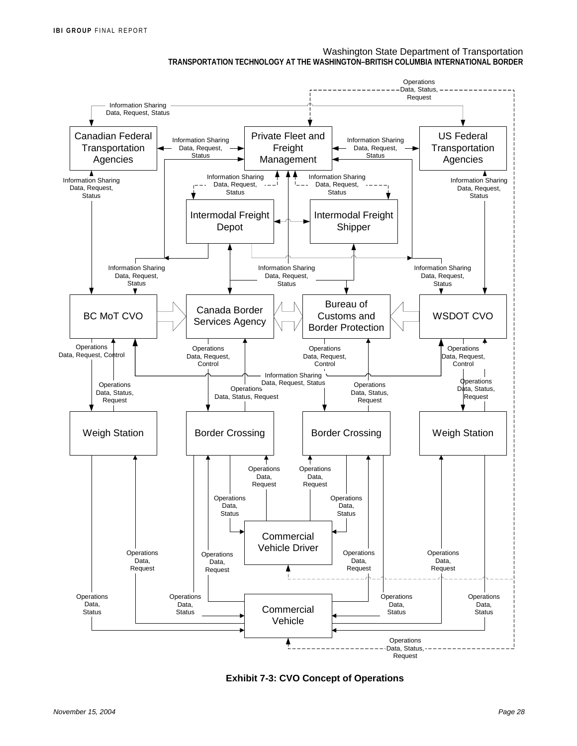

**Exhibit 7-3: CVO Concept of Operations**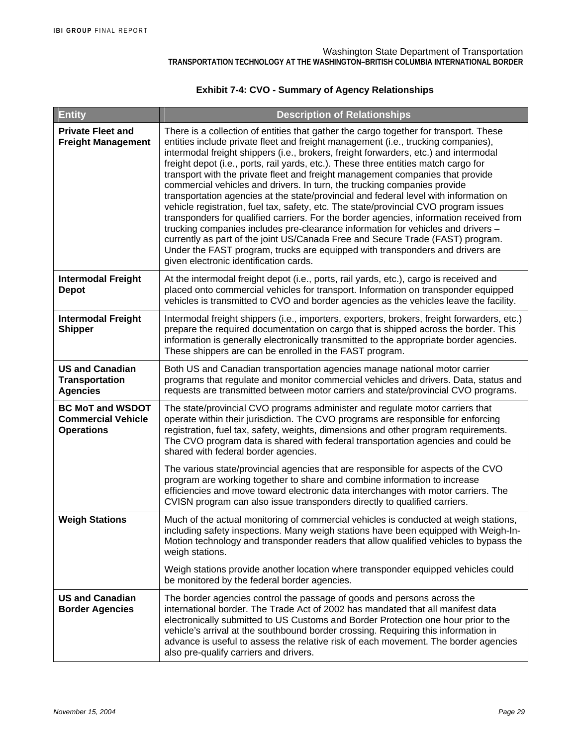#### **Exhibit 7-4: CVO - Summary of Agency Relationships**

| <b>Entity</b>                                                             | <b>Description of Relationships</b>                                                                                                                                                                                                                                                                                                                                                                                                                                                                                                                                                                                                                                                                                                                                                                                                                                                                                                                                                                                                                                                                  |
|---------------------------------------------------------------------------|------------------------------------------------------------------------------------------------------------------------------------------------------------------------------------------------------------------------------------------------------------------------------------------------------------------------------------------------------------------------------------------------------------------------------------------------------------------------------------------------------------------------------------------------------------------------------------------------------------------------------------------------------------------------------------------------------------------------------------------------------------------------------------------------------------------------------------------------------------------------------------------------------------------------------------------------------------------------------------------------------------------------------------------------------------------------------------------------------|
| <b>Private Fleet and</b><br><b>Freight Management</b>                     | There is a collection of entities that gather the cargo together for transport. These<br>entities include private fleet and freight management (i.e., trucking companies),<br>intermodal freight shippers (i.e., brokers, freight forwarders, etc.) and intermodal<br>freight depot (i.e., ports, rail yards, etc.). These three entities match cargo for<br>transport with the private fleet and freight management companies that provide<br>commercial vehicles and drivers. In turn, the trucking companies provide<br>transportation agencies at the state/provincial and federal level with information on<br>vehicle registration, fuel tax, safety, etc. The state/provincial CVO program issues<br>transponders for qualified carriers. For the border agencies, information received from<br>trucking companies includes pre-clearance information for vehicles and drivers -<br>currently as part of the joint US/Canada Free and Secure Trade (FAST) program.<br>Under the FAST program, trucks are equipped with transponders and drivers are<br>given electronic identification cards. |
| <b>Intermodal Freight</b><br><b>Depot</b>                                 | At the intermodal freight depot (i.e., ports, rail yards, etc.), cargo is received and<br>placed onto commercial vehicles for transport. Information on transponder equipped<br>vehicles is transmitted to CVO and border agencies as the vehicles leave the facility.                                                                                                                                                                                                                                                                                                                                                                                                                                                                                                                                                                                                                                                                                                                                                                                                                               |
| <b>Intermodal Freight</b><br><b>Shipper</b>                               | Intermodal freight shippers (i.e., importers, exporters, brokers, freight forwarders, etc.)<br>prepare the required documentation on cargo that is shipped across the border. This<br>information is generally electronically transmitted to the appropriate border agencies.<br>These shippers are can be enrolled in the FAST program.                                                                                                                                                                                                                                                                                                                                                                                                                                                                                                                                                                                                                                                                                                                                                             |
| <b>US and Canadian</b><br><b>Transportation</b><br><b>Agencies</b>        | Both US and Canadian transportation agencies manage national motor carrier<br>programs that regulate and monitor commercial vehicles and drivers. Data, status and<br>requests are transmitted between motor carriers and state/provincial CVO programs.                                                                                                                                                                                                                                                                                                                                                                                                                                                                                                                                                                                                                                                                                                                                                                                                                                             |
| <b>BC MoT and WSDOT</b><br><b>Commercial Vehicle</b><br><b>Operations</b> | The state/provincial CVO programs administer and regulate motor carriers that<br>operate within their jurisdiction. The CVO programs are responsible for enforcing<br>registration, fuel tax, safety, weights, dimensions and other program requirements.<br>The CVO program data is shared with federal transportation agencies and could be<br>shared with federal border agencies.<br>The various state/provincial agencies that are responsible for aspects of the CVO<br>program are working together to share and combine information to increase<br>efficiencies and move toward electronic data interchanges with motor carriers. The<br>CVISN program can also issue transponders directly to qualified carriers.                                                                                                                                                                                                                                                                                                                                                                           |
| <b>Weigh Stations</b>                                                     | Much of the actual monitoring of commercial vehicles is conducted at weigh stations,<br>including safety inspections. Many weigh stations have been equipped with Weigh-In-<br>Motion technology and transponder readers that allow qualified vehicles to bypass the<br>weigh stations.                                                                                                                                                                                                                                                                                                                                                                                                                                                                                                                                                                                                                                                                                                                                                                                                              |
|                                                                           | Weigh stations provide another location where transponder equipped vehicles could<br>be monitored by the federal border agencies.                                                                                                                                                                                                                                                                                                                                                                                                                                                                                                                                                                                                                                                                                                                                                                                                                                                                                                                                                                    |
| <b>US and Canadian</b><br><b>Border Agencies</b>                          | The border agencies control the passage of goods and persons across the<br>international border. The Trade Act of 2002 has mandated that all manifest data<br>electronically submitted to US Customs and Border Protection one hour prior to the<br>vehicle's arrival at the southbound border crossing. Requiring this information in<br>advance is useful to assess the relative risk of each movement. The border agencies<br>also pre-qualify carriers and drivers.                                                                                                                                                                                                                                                                                                                                                                                                                                                                                                                                                                                                                              |